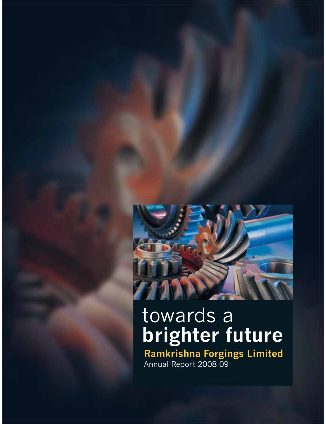

# towards a brighter future

Ramkrishna Forgings Limited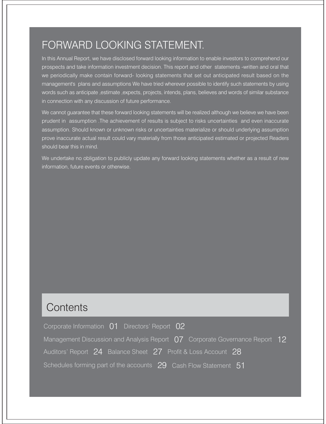## FORWARD LOOKING STATEMENT.

In this Annual Report, we have disclosed forward looking information to enable investors to comprehend our prospects and take information investment decision. This report and other statements -written and oral that we periodically make contain forward- looking statements that set out anticipated result based on the management's plans and assumptions We have tried wherever possible to identify such statements by using words such as anticipate , estimate , expects, projects, intends, plans, believes and words of similar substance in connection with any discussion of future performance.

We cannot guarantee that these forward looking statements will be realized although we believe we have been prudent in assumption. The achievement of results is subject to risks uncertainties and even inaccurate assumption. Should known or unknown risks or uncertainties materialize or should underlying assumption prove inaccurate actual result could vary materially from those anticipated estimated or projected Readers should bear this in mind.

We undertake no obligation to publicly update any forward looking statements whether as a result of new information, future events or otherwise.

## Contents

| Corporate Information 01 Directors' Report 02                                     |  |
|-----------------------------------------------------------------------------------|--|
| Management Discussion and Analysis Report $\,07\,$ Corporate Governance Report 12 |  |
| Auditors' Report 24 Balance Sheet 27 Profit & Loss Account 28                     |  |
| Schedules forming part of the accounts 29 Cash Flow Statement 51                  |  |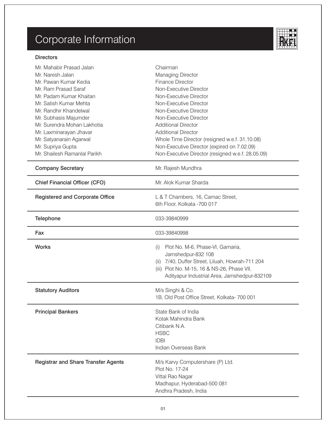# Corporate Information



| Mr. Mahabir Prasad Jalan<br>Mr. Naresh Jalan<br>Mr. Pawan Kumar Kedia<br>Mr. Ram Prasad Saraf<br>Mr. Padam Kumar Khaitan<br>Mr. Satish Kumar Mehta<br>Mr. Randhir Khandelwal<br>Mr. Subhasis Majumder<br>Mr. Surendra Mohan Lakhotia<br>Mr. Laxminarayan Jhavar<br>Mr. Satyanarain Agarwal<br>Mr. Supriya Gupta<br>Mr. Shailesh Ramanlal Parikh | Chairman<br><b>Managing Director</b><br><b>Finance Director</b><br>Non-Executive Director<br>Non-Executive Director<br>Non-Executive Director<br>Non-Executive Director<br>Non-Executive Director<br><b>Additional Director</b><br><b>Additional Director</b><br>Whole Time Director (resigned w.e.f. 31.10.08)<br>Non-Executive Director (expired on 7.02.09)<br>Non-Executive Director (resigned w.e.f. 28.05.09) |
|-------------------------------------------------------------------------------------------------------------------------------------------------------------------------------------------------------------------------------------------------------------------------------------------------------------------------------------------------|---------------------------------------------------------------------------------------------------------------------------------------------------------------------------------------------------------------------------------------------------------------------------------------------------------------------------------------------------------------------------------------------------------------------|
| <b>Company Secretary</b>                                                                                                                                                                                                                                                                                                                        | Mr. Rajesh Mundhra                                                                                                                                                                                                                                                                                                                                                                                                  |
| <b>Chief Financial Officer (CFO)</b>                                                                                                                                                                                                                                                                                                            | Mr. Alok Kumar Sharda                                                                                                                                                                                                                                                                                                                                                                                               |
| <b>Registered and Corporate Office</b>                                                                                                                                                                                                                                                                                                          | L & T Chambers, 16, Camac Street,<br>6th Floor, Kolkata -700 017                                                                                                                                                                                                                                                                                                                                                    |
| Telephone                                                                                                                                                                                                                                                                                                                                       | 033-39840999                                                                                                                                                                                                                                                                                                                                                                                                        |
| Fax                                                                                                                                                                                                                                                                                                                                             | 033-39840998                                                                                                                                                                                                                                                                                                                                                                                                        |
| <b>Works</b>                                                                                                                                                                                                                                                                                                                                    | Plot No. M-6, Phase-VI, Gamaria,<br>(i)<br>Jamshedpur-832 108<br>(ii) 7/40, Duffer Street, Liluah, Howrah-711 204<br>(iii) Plot No. M-15, 16 & NS-26, Phase VII,<br>Adityapur Industrial Area, Jamshedpur-832109                                                                                                                                                                                                    |
| <b>Statutory Auditors</b>                                                                                                                                                                                                                                                                                                                       | M/s Singhi & Co.<br>1B, Old Post Office Street, Kolkata- 700 001                                                                                                                                                                                                                                                                                                                                                    |
| <b>Principal Bankers</b>                                                                                                                                                                                                                                                                                                                        | State Bank of India<br>Kotak Mahindra Bank<br>Citibank N.A.<br><b>HSBC</b><br><b>IDBI</b><br>Indian Overseas Bank                                                                                                                                                                                                                                                                                                   |
| <b>Registrar and Share Transfer Agents</b>                                                                                                                                                                                                                                                                                                      | M/s Karvy Computershare (P) Ltd.<br>Plot No. 17-24<br>Vittal Rao Nagar<br>Madhapur, Hyderabad-500 081<br>Andhra Pradesh, India                                                                                                                                                                                                                                                                                      |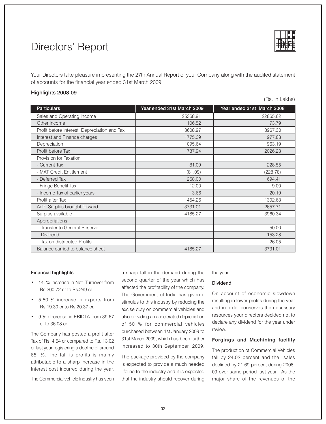## Directors' Report



Your Directors take pleasure in presenting the 27th Annual Report of your Company along with the audited statement of accounts for the financial year ended 31st March 2009.

#### Highlights 2008-09

(Rs. in Lakhs)

| <b>Particulars</b>                           | Year ended 31st March 2009 | Year ended 31st March 2008 |
|----------------------------------------------|----------------------------|----------------------------|
| Sales and Operating Income                   | 25368.91                   | 22865.62                   |
| Other Income                                 | 106.52                     | 73.79                      |
| Profit before Interest, Depreciation and Tax | 3608.97                    | 3967.30                    |
| Interest and Finance charges                 | 1775.39                    | 977.88                     |
| Depreciation                                 | 1095.64                    | 963.19                     |
| Profit before Tax                            | 737.94                     | 2026.23                    |
| Provision for Taxation                       |                            |                            |
| - Current Tax                                | 81.09                      | 228.55                     |
| - MAT Credit Entitlement                     | (81.09)                    | (228.78)                   |
| - Deferred Tax                               | 268.00                     | 694.41                     |
| - Fringe Benefit Tax                         | 12.00                      | 9.00                       |
| - Income Tax of earlier years                | 3.66                       | 20.19                      |
| Profit after Tax                             | 454.26                     | 1302.63                    |
| Add: Surplus brought forward                 | 3731.01                    | 2657.71                    |
| Surplus available                            | 4185.27                    | 3960.34                    |
| Appropriations:                              |                            |                            |
| - Transfer to General Reserve                |                            | 50.00                      |
| - Dividend                                   |                            | 153.28                     |
| - Tax on distributed Profits                 |                            | 26.05                      |
| Balance carried to balance sheet             | 4185.27                    | 3731.01                    |
|                                              |                            |                            |

#### **Financial highlights**

- 14. % increase in Net Turnover from Rs.200.72 cr to Rs.299 cr.
- 5.50 % increase in exports from Rs.19.30 cr to Rs.20.37 cr.
- 9 % decrease in EBIDTA from 39.67 cr to 36.08 cr.

The Company has posted a profit after Tax of Rs. 4.54 cr compared to Rs. 13.02 cr last year registering a decline of around 65. %. The fall is profits is mainly attributable to a sharp increase in the Interest cost incurred during the year.

The Commercial vehicle Industry has seen

a sharp fall in the demand during the second quarter of the year which has affected the profitability of the company. The Government of India has given a stimulus to this industry by reducing the excise duty on commercial vehicles and also providing an accelerated depreciation of 50 % for commercial vehicles purchased between 1st January 2009 to 31st March 2009, which has been further increased to 30th September, 2009.

The package provided by the company is expected to provide a much needed lifeline to the industry and it is expected that the industry should recover during the year.

#### **Dividend**

On account of economic slowdown resulting in lower profits during the year and in order conserves the necessary resources your directors decided not to declare any dividend for the year under review.

#### Forgings and Machining facility

The production of Commercial Vehicles fell by 24.02 percent and the sales declined by 21.69 percent during 2008-09 over same period last year. As the major share of the revenues of the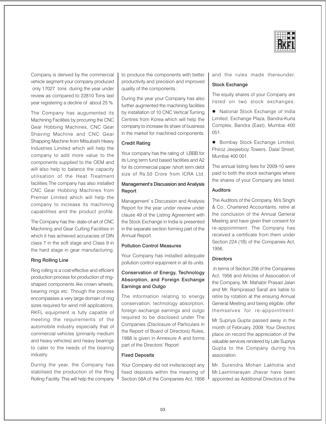

Company is derived by the commercial vehicle segment your company produced only 17027 tons during the year under review as compared to 22810 Tons last year registering a decline of about 25 %.

The Company has augumented its Machining Facilities by procuring the CNC Gear Hobbing Machines, CNC Gear Shaving Machine and CNC Gear Shapping Machine from Mitsubishi Heavy Industries Limited which will help the company to add more value to the components supplied to the OEM and will also help to balance the capacity utilisation of the Heat Treatment facilities. The company has also installed CNC Gear Hobbing Machines from Premier Limited which will help the company to increase its machining capabilities and the product profile.

The Company has the-state-of-art of CNC Machining and Gear Cutting Facilities in which it has achieved accuracies of DIN class 7 in the soft stage and Class 9 in the hard stage in gear manufacturing.

#### **Ring Rolling Line**

Ring rolling is a cost-effective and efficient production process for production of ringshaped components like crown wheels. bearing rings etc. Though the process encompasses a very large domain of ring sizes required for wind mill applications, RKFL equipment is fully capable of meeting the requirements of the automobile industry especially that of commercial vehicles (primarily medium and heavy vehicles) and heavy bearings to cater to the needs of the bearing industry

During the year, the Company has stabilised the production of the Ring Rolling Facility. This will help the company to produce the components with better productivity and precision and improved quality of the components.:

During the year your Company has also further augmented the machining facilities by installation of 10 CNC Vertical Turning Centres from Korea which will help the company to increase its share of business in the market for machined components.

#### **Credit Rating**

Your company has the rating of LBBB for its Long term fund based facilities and A2 for its commercial paper /short term debt size of Rs.50 Crore from ICRA Ltd.

#### Management's Discussion and Analysis Report

Management's Discussion and Analysis Report for the year under review under clause 49 of the Listing Agreement with the Stock Exchange in India is presented in the separate section forming part of the Annual Report.

#### **Pollution Control Measures**

Your Company has installed adequate pollution control equipment in all its units.

#### Conservation of Energy, Technology Absorption, and Foreign Exchange **Earnings and Outgo**

The information relating to energy conservation, technology absorption, foreign exchange earnings and outgo required to be disclosed under The Companies (Disclosure of Particulars in the Report of Board of Directors) Rules, 1988 is given in Annexure A and forms part of the Directors' Report.

#### **Fixed Deposits**

Your Company did not invite/accept any fixed deposits within the meaning of Section 58A of the Companies Act, 1956 and the rules made thereunder.

#### **Stock Exchange**

The equity shares of your Company are listed on two stock exchanges:

• National Stock Exchange of India Limited, Exchange Plaza, Bandra-Kurla Complex, Bandra (East), Mumbai 400  $051.$ 

• Bombay Stock Exchange Limited, Phiroz Jeejeeboy Towers, Dalal Street, Mumbai 400 001.

The annual listing fees for 2009-10 were paid to both the stock exchanges where the shares of your Company are listed.

#### **Auditors**

The Auditors of the Company, M/s Singhi & Co., Chartered Accountants, retire at the conclusion of the Annual General Meeting and have given their consent for re-appointment. The Company has received a certificate from them under Section 224 (1B) of the Companies Act, 1956.

#### **Directors**

In terms of Section 256 of the Companies Act, 1956 and Articles of Association of the Company. Mr. Mahabir Prasad Jalan and Mr. Ramprasad Saraf are liable to retire by rotation at the ensuing Annual General Meeting and being eligible, offer themselves for re-appointment.

Mr Supriva Gupta passed away in the month of February, 2009. Your Directors place on record the appreciation of the valuable services rendered by Late Supriya Gupta to the Company during his association.

Mr. Surendra Mohan Lakhotia and Mr.Laxminarayan Jhavar have been appointed as Additional Directors of the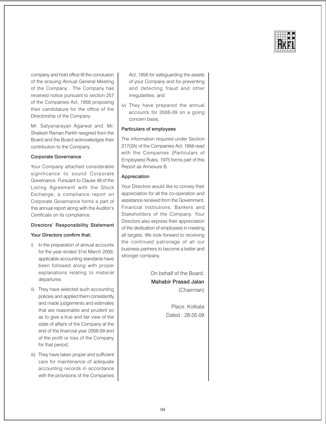

company and hold office till the conclusion of the ensuing Annual General Meeting of the Company. The Company has received notice pursuant to section 257 of the Companies Act, 1956 proposing their candidature for the office of the Directorship of the Company

Mr. Satyanarayan Agarwal and. Mr. Shailesh Raman Parikh resigned from the Board and the Board acknowledges their contribution to the Company.

#### **Corporate Governance**

Your Company attached considerable significance to sound Corporate Governance, Pursuant to Clause 49 of the Listing Agreement with the Stock Exchange, a compliance report on Corporate Governance forms a part of this annual report along with the Auditor's Certificate on its compliance.

#### Directors' Responsibility Statement

#### Your Directors confirm that:

- i) In the preparation of annual accounts for the year ended 31st March 2009, applicable accounting standards have been followed along with proper explanations relating to material departures.
- ii) They have selected such accounting policies and applied them consistently and made judgements and estimates that are reasonable and prudent so as to give a true and fair view of the state of affairs of the Company at the end of the financial year 2008-09 and of the profit or loss of the Company for that period;
- iii) They have taken proper and sufficient care for maintenance of adequate accounting records in accordance with the provisions of the Companies

Act, 1956 for safeguarding the assets of your Company and for preventing and detecting fraud and other irregularities; and

iv) They have prepared the annual accounts for 2008-09 on a going concern basis.

#### Particulars of employees

The information required under Section 217(2A) of the Companies Act, 1956 read with the Companies (Particulars of Employees) Rules, 1975 forms part of this Report as Annexure B.

#### Appreciation

Your Directors would like to convey their appreciation for all the co-operation and assistance received from the Government, Financial Institutions, Bankers and Stakeholders of the Company. Your Directors also express their appreciation of the dedication of employees in meeting all targets. We look forward to receiving the continued patronage of all our business partners to become a better and stronger company.

> On behalf of the Board **Mahabir Prasad Jalan** (Chairman)

> > Place: Kolkata Dated: 28.05.09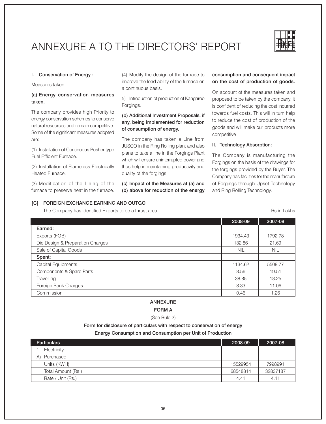## ANNEXURE A TO THE DIRECTORS' REPORT



Rs in Lakhs

#### I. Conservation of Energy:

Measures taken:

#### (a) Energy conservation measures taken.

The company provides high Priority to energy conservation schemes to conserve natural resources and remain competitive. Some of the significant measures adopted are:

(1) Installation of Continuous Pusher type Fuel Efficient Furnace.

(2) Installation of Flameless Electrically Heated Furnace.

(3) Modification of the Lining of the furnace to preserve heat in the furnace.

(4) Modify the design of the furnace to improve the load ability of the furnace on a continuous basis.

5) Introduction of production of Kangaroo Forgings.

#### (b) Additional Investment Proposals, if any, being implemented for reduction of consumption of energy.

The company has taken a Line from JUSCO in the Ring Rolling plant and also plans to take a line in the Forgings Plant which will ensure uninterrupted power and thus help in maintaining productivity and quality of the forgings.

(c) Impact of the Measures at (a) and (b) above for reduction of the energy

#### consumption and consequent impact on the cost of production of goods.

On account of the measures taken and proposed to be taken by the company, it is confident of reducing the cost incurred towards fuel costs. This will in turn help to reduce the cost of production of the goods and will make our products more competitive

#### II. Technology Absorption:

The Company is manufacturing the Forgings on the basis of the drawings for the forgings provided by the Buyer. The Company has facilities for the manufacture of Forgings through Upset Technology and Ring Rolling Technology.

#### [C] FOREIGN EXCHANGE EARNING AND OUTGO

The Company has identified Exports to be a thrust area.

|                                  | 2008-09    | 2007-08    |
|----------------------------------|------------|------------|
| Earned:                          |            |            |
| Exports (FOB)                    | 1934.43    | 1792.78    |
| Die Design & Preparation Charges | 132.86     | 21.69      |
| Sale of Capital Goods            | <b>NIL</b> | <b>NIL</b> |
| Spent:                           |            |            |
| Capital Equipments               | 1134.62    | 5508.77    |
| Components & Spare Parts         | 8.56       | 19.51      |
| Travelling                       | 38.85      | 18.25      |
| Foreign Bank Charges             | 8.33       | 11.06      |
| Commission                       | 0.46       | 1.26       |

#### **ANNEXURE**

**FORM A** 

(See Rule 2)

Form for disclosure of particulars with respect to conservation of energy

#### Energy Consumption and Consumption per Unit of Production

| <b>Particulars</b> | 2008-09  | 2007-08  |
|--------------------|----------|----------|
| Electricity        |          |          |
| Purchased<br>A)    |          |          |
| Units (KWH)        | 15529954 | 7998991  |
| Total Amount (Rs.) | 68548814 | 32837187 |
| Rate / Unit (Rs.)  | 4.41     | 4.11     |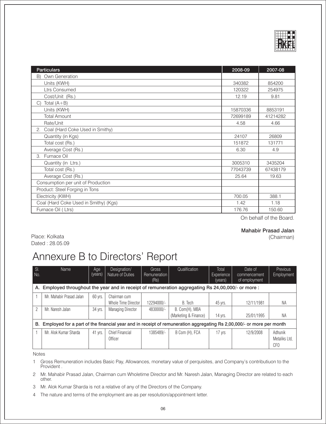

| <b>Particulars</b>                    | 2008-09  | 2007-08  |
|---------------------------------------|----------|----------|
| Own Generation<br>B)                  |          |          |
| Units (KWH)                           | 340382   | 854200   |
| <b>Ltrs Consumed</b>                  | 120322   | 254975   |
| Cost/Unit (Rs.)                       | 12.19    | 9.81     |
| Total $(A+B)$<br>C)                   |          |          |
| Units (KWH)                           | 15870336 | 8853191  |
| <b>Total Amount</b>                   | 72699189 | 41214282 |
| Rate/Unit                             | 4.58     | 4.66     |
| Coal (Hard Coke Used in Smithy)<br>2. |          |          |
| Quantity (in Kgs)                     | 24107    | 26809    |
| Total cost (Rs.)                      | 151872   | 131771   |
| Average Cost (Rs.)                    | 6.30     | 4.9      |
| 3. Furnace Oil                        |          |          |
| Quantity (in Ltrs.)                   | 3005310  | 3435204  |
| Total cost (Rs.)                      | 77043739 | 67438179 |
| Average Cost (Rs.)                    | 25.64    | 19.63    |
| Consumption per unit of Production    |          |          |
| Product: Steel Forging in Tons        |          |          |
| Electricity (KWH)                     | 700.05   | 388.1    |
| Coal (Hard Coke Used in Smithy) (Kgs) | 1.42     | 1.18     |
| Furnace Oil (Ltrs)                    | 176.76   | 150.60   |

On behalf of the Board.

#### **Mahabir Prasad Jalan** (Chairman)

Place: Kolkata Dated: 28.05.09

## Annexure B to Directors' Report

| SI.<br>No.               | Name                                                                                                                 | Age<br>(years) | Designation/<br>Nature of Duties    | Gross<br>Remuneration<br>(Rs) | Qualification                           | Total<br><b>Experience</b><br>(years) | Date of<br>commencement<br>of employment | <b>Previous</b><br>Employment   |
|--------------------------|----------------------------------------------------------------------------------------------------------------------|----------------|-------------------------------------|-------------------------------|-----------------------------------------|---------------------------------------|------------------------------------------|---------------------------------|
| А.                       | Employed throughout the year and in receipt of remuneration aggregating Rs 24,00,000/- or more :                     |                |                                     |                               |                                         |                                       |                                          |                                 |
|                          | Mr. Mahabir Prasad Jalan                                                                                             | 60 yrs.        | Chairman cum<br>Whole Time Director | 12294000/-                    | B. Tech                                 | 45 yrs.                               | 12/11/1981                               | NA                              |
| $\overline{\phantom{a}}$ | Mr. Naresh Jalan                                                                                                     | 34 yrs.        | <b>Managing Director</b>            | 4830000/-                     | B. Com(H), MBA<br>(Marketing & Finance) | 14 yrs.                               | 25/01/1995                               | ΝA                              |
| В.                       | Employed for a part of the financial year and in receipt of remuneration aggregating Rs 2,00,000/- or more per month |                |                                     |                               |                                         |                                       |                                          |                                 |
|                          | Mr. Alok Kumar Sharda                                                                                                | 41 yrs.        | Chief Financial<br>Officer          | 1385489/-                     | B Com (H), FCA                          | 17 yrs                                | 12/9/2008                                | Adhunik<br>Metaliks Ltd.<br>CFO |

Notes

Gross Remuneration includes Basic Pay, Allowances, monetary value of perquisites, and Company's contributiuon to the  $\mathbf{1}$ Provident.

2 Mr. Mahabir Prasad Jalan, Chairman cum Wholetime Director and Mr. Naresh Jalan, Managing Director are related to each other.

3 Mr. Alok Kumar Sharda is not a relative of any of the Directors of the Company.

 $\overline{4}$ The nature and terms of the employment are as per resolution/appointment letter.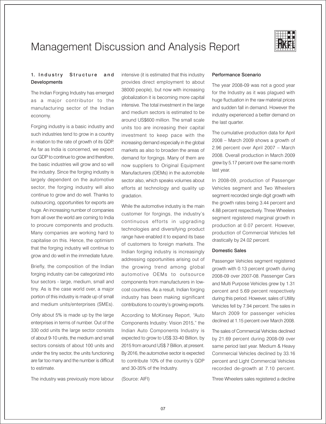

## Management Discussion and Analysis Report

#### 1. Industry **Structure** and **Developments**

The Indian Forging Industry has emerged as a major contributor to the manufacturing sector of the Indian economy.

Forging industry is a basic industry and such industries tend to grow in a country in relation to the rate of growth of its GDP. As far as India is concerned, we expect our GDP to continue to grow and therefore, the basic industries will grow and so will the industry. Since the forging industry is largely dependent on the automotive sector, the forging industry will also continue to grow and do well. Thanks to outsourcing, opportunities for exports are huge. An increasing number of companies from all over the world are coming to India to procure components and products. Many companies are working hard to capitalise on this. Hence, the optimism that the forging industry will continue to grow and do well in the immediate future.

Briefly, the composition of the Indian forging industry can be categorized into four sectors - large, medium, small and tiny. As is the case world over, a major portion of this industry is made up of small and medium units/enterprises (SMEs).

Only about 5% is made up by the large enterprises in terms of number. Out of the 330 odd units the large sector consists of about 9-10 units, the medium and small sectors consists of about 100 units and under the tiny sector, the units functioning are far too many and the number is difficult to estimate.

The industry was previously more labour

intensive (it is estimated that this industry provides direct employment to about 38000 people), but now with increasing globalization it is becoming more capital intensive. The total investment in the large and medium sectors is estimated to be around US\$600 million. The small scale units too are increasing their capital investment to keep pace with the increasing demand especially in the global markets as also to broaden the areas of demand for forgings. Many of them are now suppliers to Original Equipment Manufacturers (OEMs) in the automobile sector also, which speaks volumes about efforts at technology and quality up gradation.

While the automotive industry is the main customer for forgings, the industry's continuous efforts in upgrading technologies and diversifying product range have enabled it to expand its base of customers to foreign markets. The Indian forging industry is increasingly addressing opportunities arising out of the growing trend among global automotive OEMs to outsource components from manufacturers in lowcost countries. As a result, Indian forging industry has been making significant contributions to country's growing exports.

According to McKinsey Report, "Auto Components Industry: Vision 2015," the Indian Auto Components Industry is expected to grow to US\$ 33-40 Billion, by 2015 from around US\$ 7 Billion, at present. By 2016, the automotive sector is expected to contribute 10% of the country's GDP and 30-35% of the Industry.

(Source: AIFI)

#### Performance Scenario

The year 2008-09 was not a good year for the Industry as it was plagued with huge fluctuation in the raw material prices and sudden fall in demand. However the industry experienced a better demand on the last quarter.

The cumulative production data for April 2008 - March 2009 shows a growth of 2.96 percent over April 2007 - March 2008. Overall production in March 2009 grew by 5.17 percent over the same month last year.

In 2008-09, production of Passenger Vehicles segment and Two Wheelers segment recorded single digit growth with the growth rates being 3.44 percent and 4.88 percent respectively. Three Wheelers segment registered marginal growth in production at 0.07 percent. However, production of Commercial Vehicles fell drastically by 24.02 percent.

#### **Domestic Sales**

Passenger Vehicles segment registered growth with 0.13 percent growth during 2008-09 over 2007-08. Passenger Cars and Multi Purpose Vehicles grew by 1.31 percent and 5.69 percent respectively during this period. However, sales of Utility Vehicles fell by 7.94 percent. The sales in March 2009 for passenger vehicles declined at 1.15 percent over March 2008.

The sales of Commercial Vehicles declined by 21.69 percent during 2008-09 over same period last year. Medium & Heavy Commercial Vehicles declined by 33.16 percent and Light Commercial Vehicles recorded de-growth at 7.10 percent.

Three Wheelers sales registered a decline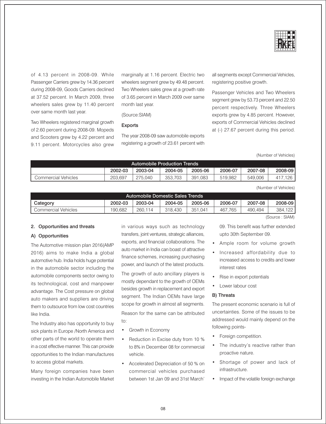

of 4.13 percent in 2008-09. While Passenger Carriers grew by 14.36 percent during 2008-09, Goods Carriers declined at 37.52 percent. In March 2009, three wheelers sales grew by 11.40 percent over same month last year.

Two Wheelers registered marginal growth of 2.60 percent during 2008-09. Mopeds and Scooters grew by 4.22 percent and 9.11 percent. Motorcycles also grew

marginally at 1.16 percent. Electric two wheelers segment grew by 49.48 percent. Two Wheelers sales grew at a growth rate of 3.65 percent in March 2009 over same month last year.

(Source:SIAM)

#### **Exports**

The year 2008-09 saw automobile exports registering a growth of 23.61 percent with all segments except Commercial Vehicles, registering positive growth.

Passenger Vehicles and Two Wheelers segment grew by 53.73 percent and 22.50 percent respectively. Three Wheelers exports grew by 4.85 percent. However, exports of Commercial Vehicles declined at (-) 27.67 percent during this period.

(Number of Vehicles)

| <b>Automobile Production Trends</b> |         |         |         |             |         |         |               |
|-------------------------------------|---------|---------|---------|-------------|---------|---------|---------------|
|                                     | 2002-03 | 2003-04 | 2004-05 | 2005-06     | 2006-07 | 2007-08 | 2008-09       |
| Commercial Vehicles                 | 203.697 | 275.040 | 353.703 | .083<br>391 | 519.982 | 549.006 | .126<br>- 417 |

(Number of Vehicles)

| Automobile Domestic Sales Trends |         |         |         |         |         |         |         |
|----------------------------------|---------|---------|---------|---------|---------|---------|---------|
| Category                         | 2002-03 | 2003-04 | 2004-05 | 2005-06 | 2006-07 | 2007-08 | 2008-09 |
| Commercial Vehicles              | 190.682 | 260.114 | 318.430 | 351.041 | 467.765 | 490.494 | 384.122 |
| (Source: SIAM)                   |         |         |         |         |         |         |         |

#### 2. Opportunities and threats

#### A) Opportunities

The Automotive mission plan 2016(AMP 2016) aims to make India a global automotive hub. India holds huge potential in the automobile sector including the automobile components sector owing to its technological, cost and manpower advantage. The Cost pressure on global auto makers and suppliers are driving them to outsource from low cost countries like India.

The Industry also has opportunity to buy sick plants in Europe /North America and other parts of the world to operate them in a cost effective manner. This can provide opportunities to the Indian manufactures to access global markets.

Many foreign companies have been investing in the Indian Automobile Market in various ways such as technology transfers, joint ventures, strategic alliances, exports, and financial collaborations. The auto market in India can boast of attractive finance schemes, increasing purchasing power, and launch of the latest products.

The growth of auto ancillary players is mostly dependant to the growth of OEMs besides growth in replacement and export segment. The Indian OEMs have large scope for growth in almost all segments. Reason for the same can be attributed to:

- Growth in Economy
- Reduction in Excise duty from 10 % to 8% in December 08 for commercial vehicle
- Accelerated Depreciation of 50 % on commercial vehicles purchased between 1st Jan 09 and 31st March'

09. This benefit was further extended upto 30th September 09.

- Ample room for volume growth
- Increased affordability due to increased access to credits and lower interest rates
- Rise in export potentials
- Lower labour cost

#### **B)** Threats

The present economic scenario is full of uncertainties. Some of the issues to be addressed would mainly depend on the following points-

- Foreign competition.
- The industry's reactive rather than proactive nature.
- · Shortage of power and lack of infrastructure.
- Impact of the volatile foreign exchange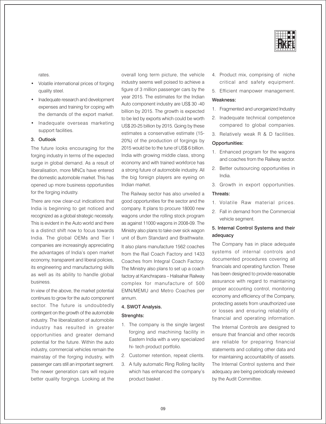

rates.

- Volatile international prices of forging quality steel.
- Inadequate research and development expenses and training for coping with the demands of the export market.
- Inadequate overseas marketing support facilities.

#### 3. Outlook

The future looks encouraging for the forging industry in terms of the expected surge in global demand. As a result of liberalisation, more MNCs have entered the domestic automobile market. This has opened up more business opportunities for the forging industry.

There are now clear-cut indications that India is beginning to get noticed and recognized as a global strategic necessity. This is evident in the Auto world and there is a distinct shift now to focus towards India. The global OEMs and Tier I companies are increasingly appreciating the advantages of India's open market economy, transparent and liberal policies, its engineering and manufacturing skills as well as its ability to handle global business.

In view of the above, the market potential continues to grow for the auto component sector. The future is undoubtedly contingent on the growth of the automobile industry. The liberalization of automobile industry has resulted in greater opportunities and greater demand potential for the future. Within the auto industry, commercial vehicles remain the mainstay of the forging industry, with passenger cars still an important segment. The newer generation cars will require better quality forgings. Looking at the

overall long term picture, the vehicle industry seems well poised to achieve a figure of 3 million passenger cars by the year 2015. The estimates for the Indian Auto component industry are US\$ 30 -40 billion by 2015. The growth is expected to be led by exports which could be worth US\$ 20-25 billion by 2015. Going by these estimates a conservative estimate (15-20%) of the production of forgings by 2015 would be to the tune of US\$ 6 billion. India with growing middle class, strong economy and with trained workforce has a strong future of automobile industry. All the big foreign players are eyeing on Indian market.

The Railway sector has also unveiled a good opportunities for the sector and the company. It plans to procure 18000 new wagons under the rolling stock program as against 11000 wagons in 2008-09. The Ministry also plans to take over sick wagon unit of Burn Standard and Braithwaite. It also plans manufacture 1562 coaches from the Rail Coach Factory and 1433 Coaches from Integral Coach Factory. The Ministry also plans to set up a coach factory at Kanchrapara - Halisahar Railway complex for manufacture of 500 EMN/MEMU and Metro Coaches per annum.

#### 4. SWOT Analysis.

#### Strenghts:

- 1. The company is the single largest forging and machining facility in Eastern India with a very specialized hi- tech product portfolio.
- 2. Customer retention, repeat clients.
- 3. A fully automatic Ring Rolling facility which has enhanced the company's product basket.
- 4. Product mix, comprising of niche critical and safety equipment.
- 5. Efficient manpower management.

#### Weakness:

- 1. Fragmented and unorganized Industry
- 2. Inadequate technical competence compared to global companies.
- 3. Relatively weak R & D facilities.

#### Opportunities:

- 1. Enhanced program for the wagons and coaches from the Railway sector.
- 2. Better outsourcing opportunities in India.
- 3. Growth in export opportunities.

#### Threats:

- 1. Volatile Raw material prices.
- 2. Fall in demand from the Commercial vehicle segment.

#### 5. Internal Control Systems and their adequacy

The Company has in place adequate systems of internal controls and documented procedures covering all financials and operating function. These has been designed to provide reasonable assurance with regard to maintaining proper accounting control, monitoring economy and efficiency of the Company, protecting assets from unauthorized use or losses and ensuring reliability of financial and operating information.

The Internal Controls are designed to ensure that financial and other records are reliable for preparing financial statements and collating other data and for maintaining accountability of assets. The Internal Control systems and their adequacy are being periodically reviewed by the Audit Committee.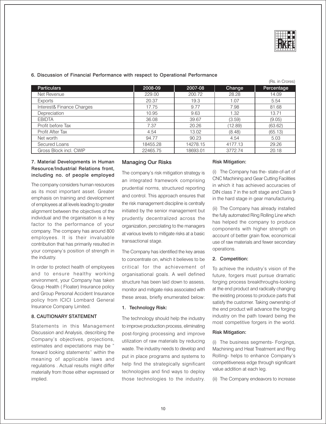

#### 6. Discussion of Financial Performance with respect to Operational Performance

|                           |          |          |         | (Rs. in Crores) |
|---------------------------|----------|----------|---------|-----------------|
| <b>Particulars</b>        | 2008-09  | 2007-08  | Change  | Percentage      |
| Net Revenue               | 229.00   | 200.72   | 28.28   | 14.09           |
| Exports                   | 20.37    | 19.3     | 1.07    | 5.54            |
| Interest& Finance Charges | 17.75    | 9.77     | 7.98    | 81.68           |
| Depreciation              | 10.95    | 9.63     | 1.32    | 13.71           |
| <b>EBIDTA</b>             | 36.08    | 39.67    | (3.59)  | (9.05)          |
| Profit before Tax         | 7.37     | 20.26    | (12.89) | (63.62)         |
| Profit After Tax          | 4.54     | 13.02    | (8.48)  | (65.13)         |
| Net worth                 | 94.77    | 90.23    | 4.54    | 5.03            |
| Secured Loans             | 18455.28 | 14278.15 | 4177.13 | 29.26           |
| Gross Block incl. CWIP    | 22465.75 | 18693.01 | 3772.74 | 20.18           |

#### 7. Material Developments in Human Resource/Industrial Relations front, including no. of people employed

The company considers human resources as its most important asset. Greater emphasis on training and development of employees at all levels leading to greater alignment between the objectives of the individual and the organisation is a key factor to the performance of your company. The company has around 800 employees. It is their invaluable contribution that has primarily resulted in your company's position of strength in the industry.

In order to protect health of employees and to ensure healthy working environment, your Company has taken Group Health (Floater) Insurance policy and Group Personal Accident Insurance policy from ICICI Lombard General Insurance Company Limited.

#### **8. CAUTIONARY STATEMENT**

Statements in this Management Discussion and Analysis, describing the Company's objectives, projections, estimates and expectations may be " forward looking statements" within the meaning of applicable laws and regulations. Actual results might differ materially from those either expressed or implied.

#### **Managing Our Risks**

The company's risk mitigation strategy is an integrated framework comprising prudential norms, structured reporting and control. This approach ensures that the risk management discipline is centrally initiated by the senior management but prudently decentralized across the organization, percolating to the managers at various levels to mitigate risks at a basic transactional stage.

The Company has identified the key areas to concentrate on, which it believes to be critical for the achievement of organisational goals. A well defined structure has been laid down to assess. monitor and mitigate risks associated with these areas, briefly enumerated below:

#### 1. Technology Risk:

The technology should help the industry to improve production process, eliminating post-forging processing and improve utilization of raw materials by reducing waste. The industry needs to develop and put in place programs and systems to help find the strategically significant technologies and find ways to deploy those technologies to the industry.

#### **Risk Mitigation:**

(i) The Company has the-state-of-art of CNC Machining and Gear Cutting Facilities in which it has achieved accuracies of DIN class 7 in the soft stage and Class 9 in the hard stage in gear manufacturing.

(ii) The Company has already installed the fully automated Ring Rolling Line which has helped the company to produce components with higher strength on account of better grain flow, economical use of raw materials and fewer secondary operations.

#### 2. Competition:

To achieve the industry's vision of the future, forgers must pursue dramatic forging process breakthroughs-looking at the end product and radically changing the existing process to produce parts that satisfy the customer. Taking ownership of the end product will advance the forging industry on the path toward being the most competitive forgers in the world.

#### **Risk Mitigation:**

(i) The business segments- Forgings, Machining and Heat Treatment and Ring Rolling- helps to enhance Company's competitiveness edge through significant value addition at each leg.

(ii) The Company endeavors to increase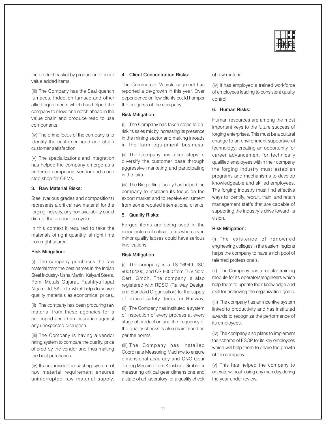

the product basket by production of more value added items.

(iii) The Company has the Seal quench furnaces, Induction furnace and other allied equipments which has helped the company to move one notch ahead in the value chain and produce read to use components

(iv) The prime focus of the company is to identify the customer need and attain customer satisfaction.

(v) The specializations and integration has helped the company emerge as a preferred component vendor and a one stop shop for OEMs.

#### 3. Raw Material Risks:

Steel (various grades and compositions) represents a critical raw material for the forging industry, any non availability could disrupt the production cycle.

In this context it required to take the materials of right quantity, at right time from right source.

#### **Risk Mitigation:**

(i) The company purchases the raw material from the best names in the Indian Steel Industry- Usha Martin, Kalyani Steels, Remi Metals Gujarat, Rashtrya Ispat Nigam Ltd, SAIL etc. which helps to source quality materials as economical prices.

(ii) The company has been procuring raw material from these agencies for a prolonged period an insurance against any unexpected disruption.

(iii) The Company is having a vendor rating system to compare the quality, price offered by the vendor and thus making the best purchases.

(iv) Its organised forecasting system of raw material requirement ensures uninterrupted raw material supply.

#### 4. Client Concentration Risks:

The Commercial Vehicle segment has reported a de-growth in this year. Over dependence on few clients could hamper the progress of the company.

#### **Risk Mitigation:**

(i) The Company has taken steps to derisk its sales mix by increasing its presence in the mining sector and making inroads in the farm equipment business.

(ii) The Company has taken steps to diversify the customer base through aggressive marketing and participating in the fairs.

(iii) The Ring rolling facility has helped the company to increase its focus on the export market and to receive enlistment from some reputed international clients.

#### 5. Quality Risks:

Forged items are being used in the manufacture of critical items where even minor quality lapses could have serious implications

#### **Risk Mitigation**

(i) The company is a TS-16949, ISO 9001(2000) and QS-9000 from TUV Nord Cert, Gmbh. The company is also registered with RDSO (Railway Design and Standard Organisation) for the supply of critical safety items for Railway.

(ii) The Company has instituted a system of inspection of every process at every stage of production and the frequency of the quality checks is also maintained as per the norms.

(iii) The Company has installed Coordinate Measuring Machine to ensure dimensional accuracy and CNC Gear Testing Machine from Klinsberg, Gmbh for measuring critical gear dimensions and a state of art laboratory for a quality check of raw material.

(iv) It has employed a trained workforce of employees leading to consistent quality control.

#### 6. Human Risks:

Human resources are among the most important keys to the future success of forging enterprises. This must be a cultural change to an environment supportive of technology; creating an opportunity for career advancement for technically qualified employees within their company the forging industry must establish programs and mechanisms to develop knowledgeable and skilled employees. The forging industry must find effective ways to identify, recruit, train, and retain management staffs that are capable of supporting the industry's drive toward its vision.

#### **Risk Mitigation:**

(i) The existence of renowned engineering colleges in the eastern regions helps the company to have a rich pool of talented professionals.

(ii) The Company has a regular training module for its operators/engineers which help them to update their knowledge and skill for achieving the organization goals.

(iii) The company has an incentive system linked to productivity and has instituted awards to recognize the performance of its employees.

(iv) The company also plans to implement the scheme of ESOP for its key employees which will help them to share the growth of the company.

(v) This has helped the company to operate without losing any man day during the year under review.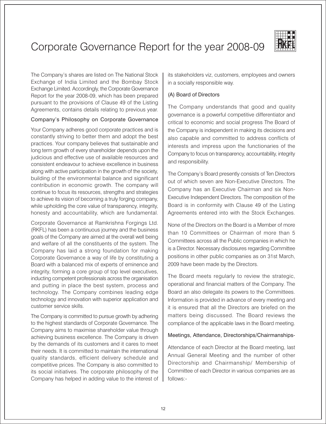# Corporate Governance Report for the year 2008-09



The Company's shares are listed on The National Stock Exchange of India Limited and the Bombay Stock Exchange Limited. Accordingly, the Corporate Governance Report for the year 2008-09, which has been prepared pursuant to the provisions of Clause 49 of the Listing Agreements, contains details relating to previous year.

#### Company's Philosophy on Corporate Governance

Your Company adheres good corporate practices and is constantly striving to better them and adopt the best practices. Your company believes that sustainable and long term growth of every shareholder depends upon the judicious and effective use of available resources and consistent endeavour to achieve excellence in business along with active participation in the growth of the society. building of the environmental balance and significant contribution in economic growth. The company will continue to focus its resources, strengths and strategies to achieve its vision of becoming a truly forging company. while upholding the core value of transparency, integrity, honesty and accountability, which are fundamental.

Corporate Governance at Ramkrishna Forgings Ltd. (RKFL) has been a continuous journey and the business goals of the Company are aimed at the overall well being and welfare of all the constituents of the system. The Company has laid a strong foundation for making Corporate Governance a way of life by constituting a Board with a balanced mix of experts of eminence and integrity, forming a core group of top level executives, inducting competent professionals across the organisation and putting in place the best system, process and technology. The Company combines leading edge technology and innovation with superior application and customer service skills.

The Company is committed to pursue growth by adhering to the highest standards of Corporate Governance. The Company aims to maximise shareholder value through achieving business excellence. The Company is driven by the demands of its customers and it cares to meet their needs. It is committed to maintain the international quality standards, efficient delivery schedule and competitive prices. The Company is also committed to its social initiatives. The corporate philosophy of the Company has helped in adding value to the interest of its stakeholders viz. customers, employees and owners in a socially responsible way.

## (A) Board of Directors

The Company understands that good and quality governance is a powerful competitive differentiator and critical to economic and social progress The Board of the Company is independent in making its decisions and also capable and committed to address conflicts of interests and impress upon the functionaries of the Company to focus on transparency, accountability, integrity and responsibility.

The Company's Board presently consists of Ten Directors out of which seven are Non-Executive Directors. The Company has an Executive Chairman and six Non-Executive Independent Directors. The composition of the Board is in conformity with Clause 49 of the Listing Agreements entered into with the Stock Exchanges.

None of the Directors on the Board is a Member of more than 10 Committees or Chairman of more than 5 Committees across all the Public companies in which he is a Director. Necessary disclosures regarding Committee positions in other public companies as on 31st March, 2009 have been made by the Directors.

The Board meets regularly to review the strategic. operational and financial matters of the Company. The Board an also delegate its powers to the Committees. Information is provided in advance of every meeting and it is ensured that all the Directors are briefed on the matters being discussed. The Board reviews the compliance of the applicable laws in the Board meeting.

#### Meetings, Attendance, Directorships/Chairmanships-

Attendance of each Director at the Board meeting, last Annual General Meeting and the number of other Directorship and Chairmanship/ Membership of Committee of each Director in various companies are as follows:-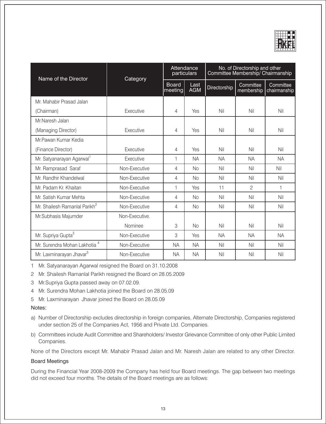

| Name of the Director                      | Category       | Attendance<br>particulars |                    | No. of Directorship and other<br>Committee Membership/ Chairmanship |                         |                           |  |
|-------------------------------------------|----------------|---------------------------|--------------------|---------------------------------------------------------------------|-------------------------|---------------------------|--|
|                                           |                | <b>Board</b><br>meeting   | Last<br><b>AGM</b> | Directorship                                                        | Committee<br>membership | Committee<br>chairmanship |  |
| Mr. Mahabir Prasad Jalan                  |                |                           |                    |                                                                     |                         |                           |  |
| (Chairman)                                | Executive      | 4                         | Yes                | Nil                                                                 | Nil                     | Nil                       |  |
| Mr.Naresh Jalan                           |                |                           |                    |                                                                     |                         |                           |  |
| (Managing Director)                       | Executive      | 4                         | Yes                | Nil                                                                 | Nil                     | Nil                       |  |
| Mr.Pawan Kumar Kedia                      |                |                           |                    |                                                                     |                         |                           |  |
| (Finance Director)                        | Executive      | 4                         | Yes                | Nil                                                                 | Nil                     | Nil                       |  |
| Mr. Satyanarayan Agarwal <sup>1</sup>     | Executive      | 1                         | <b>NA</b>          | <b>NA</b>                                                           | <b>NA</b>               | <b>NA</b>                 |  |
| Mr. Ramprasad Saraf                       | Non-Executive  | 4                         | <b>No</b>          | Nil                                                                 | Nil                     | Nil                       |  |
| Mr. Randhir Khandelwal                    | Non-Executive  | 4                         | <b>No</b>          | Nil                                                                 | Nil                     | Nil                       |  |
| Mr. Padam Kr. Khaitan                     | Non-Executive  | 1                         | Yes                | 11                                                                  | $\mathfrak{D}$          | $\mathbf{1}$              |  |
| Mr. Satish Kumar Mehta                    | Non-Executive  | 4                         | <b>No</b>          | Nil                                                                 | Nil                     | Nil                       |  |
| Mr. Shailesh Ramanlal Parikh <sup>2</sup> | Non-Executive  | 4                         | No                 | Nil                                                                 | Nil                     | Nil                       |  |
| Mr.Subhasis Majumder                      | Non-Executive. |                           |                    |                                                                     |                         |                           |  |
|                                           | Nominee        | 3                         | <b>No</b>          | Nil                                                                 | Nil                     | Nil                       |  |
| Mr. Supriya Gupta <sup>3</sup>            | Non-Executive  | 3                         | Yes                | <b>NA</b>                                                           | <b>NA</b>               | <b>NA</b>                 |  |
| Mr. Surendra Mohan Lakhotia <sup>4</sup>  | Non-Executive  | <b>NA</b>                 | <b>NA</b>          | Nil                                                                 | Nil                     | Nil                       |  |
| Mr. Laxminarayan Jhavar <sup>5</sup>      | Non-Executive  | <b>NA</b>                 | <b>NA</b>          | Nil                                                                 | Nil                     | Nil                       |  |

1 Mr. Satyanarayan Agarwal resigned the Board on 31.10.2008

2 Mr. Shailesh Ramanlal Parikh resigned the Board on 28.05.2009

- 3 Mr. Supriya Gupta passed away on 07.02.09.
- 4 Mr. Surendra Mohan Lakhotia joined the Board on 28.05.09
- 5 Mr. Laxminarayan Jhavar joined the Board on 28.05.09

#### Notes:

- a) Number of Directorship excludes directorship in foreign companies, Alternate Directorship, Companies registered under section 25 of the Companies Act, 1956 and Private Ltd. Companies.
- b) Committees include Audit Committee and Shareholders/ Investor Grievance Committee of only other Public Limited Companies.

None of the Directors except Mr. Mahabir Prasad Jalan and Mr. Naresh Jalan are related to any other Director.

#### **Board Meetings**

During the Financial Year 2008-2009 the Company has held four Board meetings. The gap between two meetings did not exceed four months. The details of the Board meetings are as follows: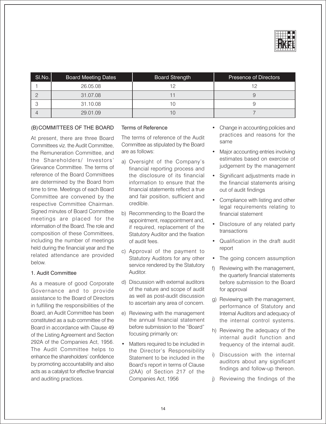

| SI.No. | <b>Board Meeting Dates</b> | <b>Board Strength</b> | <b>Presence of Directors</b> |
|--------|----------------------------|-----------------------|------------------------------|
|        | 26.05.08                   | 1 2                   |                              |
|        | 31.07.08                   |                       |                              |
|        | 31.10.08                   | ' C                   |                              |
|        | 29.01.09                   |                       |                              |

#### (B) COMMITTEES OF THE BOARD

At present, there are three Board Committees viz. the Audit Committee. the Remuneration Committee, and the Shareholders/ Investors' Grievance Committee. The terms of reference of the Board Committees are determined by the Board from time to time. Meetings of each Board Committee are convened by the respective Committee Chairman. Signed minutes of Board Committee meetings are placed for the information of the Board. The role and composition of these Committees. including the number of meetings held during the financial year and the related attendance are provided below.

#### 1. Audit Committee

As a measure of good Corporate Governance and to provide assistance to the Board of Directors in fulfilling the responsibilities of the Board, an Audit Committee has been constituted as a sub committee of the Board in accordance with Clause 49 of the Listing Agreement and Section 292A of the Companies Act, 1956. The Audit Committee helps to enhance the shareholders' confidence by promoting accountability and also acts as a catalyst for effective financial and auditing practices.

#### **Terms of Reference**

The terms of reference of the Audit Committee as stipulated by the Board are as follows:

- a) Oversight of the Company's financial reporting process and the disclosure of its financial information to ensure that the financial statements reflect a true and fair position, sufficient and credible.
- b) Recommending to the Board the appointment, reappointment and, if required, replacement of the Statutory Auditor and the fixation of audit fees.
- c) Approval of the payment to Statutory Auditors for any other service rendered by the Statutory Auditor.
- d) Discussion with external auditors of the nature and scope of audit as well as post-audit discussion to ascertain any area of concern.
- e) Reviewing with the management the annual financial statement before submission to the "Board" focusing primarily on:
- Matters required to be included in the Director's Responsibility Statement to be included in the Board's report in terms of Clause (2AA) of Section 217 of the Companies Act, 1956
- Change in accounting policies and practices and reasons for the same
- Major accounting entries involving estimates based on exercise of judgement by the management
- Significant adjustments made in the financial statements arising out of audit findings
- Compliance with listing and other legal requirements relating to financial statement
- Disclosure of any related party transactions
- Qualification in the draft audit report
- The going concern assumption
- Reviewing with the management, the quarterly financial statements before submission to the Board for approval
- g) Reviewing with the management, performance of Statutory and Internal Auditors and adequacy of the internal control systems.
- h) Reviewing the adequacy of the internal audit function and frequency of the internal audit.
- i) Discussion with the internal auditors about any significant findings and follow-up thereon.
- i) Reviewing the findings of the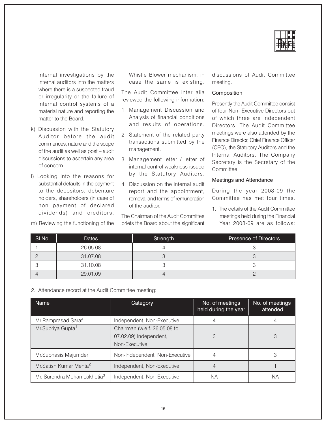

internal investigations by the internal auditors into the matters where there is a suspected fraud or irregularity or the failure of internal control systems of a material nature and reporting the matter to the Board.

- k) Discussion with the Statutory Auditor before the audit commences, nature and the scope of the audit as well as post - audit discussions to ascertain any area of concern.
- I) Looking into the reasons for substantial defaults in the payment to the depositors, debenture holders, shareholders (in case of non payment of declared dividends) and creditors.
- m) Reviewing the functioning of the

Whistle Blower mechanism, in case the same is existing.

The Audit Committee inter alia reviewed the following information:

- 1. Management Discussion and Analysis of financial conditions and results of operations.
- 2. Statement of the related party transactions submitted by the management.
- 3. Management letter / letter of internal control weakness issued by the Statutory Auditors.
- 4. Discussion on the internal audit report and the appointment, removal and terms of remuneration of the auditor.

The Chairman of the Audit Committee briefs the Board about the significant discussions of Audit Committee meeting.

#### Composition

Presently the Audit Committee consist of four Non- Executive Directors out of which three are Independent Directors. The Audit Committee meetings were also attended by the Finance Director, Chief Finance Officer (CFO), the Statutory Auditors and the Internal Auditors. The Company Secretary is the Secretary of the Committee

#### Meetings and Attendance

During the year 2008-09 the Committee has met four times.

1. The details of the Audit Committee meetings held during the Financial Year 2008-09 are as follows:

| SI.No. | <b>Dates</b> | Strength | <b>Presence of Directors</b> |
|--------|--------------|----------|------------------------------|
|        | 26.05.08     |          |                              |
|        | 31.07.08     |          |                              |
|        | 31.10.08     |          |                              |
|        | 29.01.09     |          |                              |

2. Attendance record at the Audit Committee meeting:

| Name                                     | Category                                                                | No. of meetings<br>held during the year | No. of meetings<br>attended |
|------------------------------------------|-------------------------------------------------------------------------|-----------------------------------------|-----------------------------|
| Mr.Ramprasad Saraf                       | Independent, Non-Executive                                              |                                         |                             |
| Mr.Supriya Gupta <sup>1</sup>            | Chairman (w.e.f. 26.05.08 to<br>07.02.09) Independent,<br>Non-Executive | З                                       | 3                           |
| Mr.Subhasis Majumder                     | Non-Independent, Non-Executive                                          |                                         |                             |
| Mr. Satish Kumar Mehta <sup>2</sup>      | Independent, Non-Executive                                              |                                         |                             |
| Mr. Surendra Mohan Lakhotia <sup>3</sup> | Independent, Non-Executive                                              | ΝA                                      | NА                          |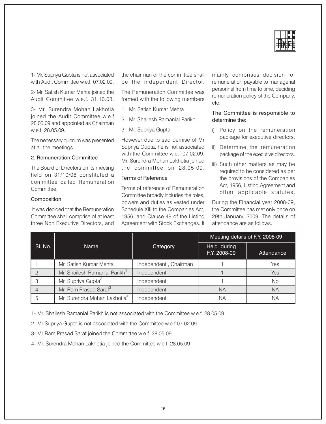

1- Mr. Supriva Gupta is not associated with Audit Committee w.e.f. 07.02.09.

2- Mr. Satish Kumar Mehta joined the Audit Committee w.e.f. 31.10.08.

3- Mr. Surendra Mohan Lakhotia joined the Audit Committee w.e.f 28.05.09 and appointed as Chairman w.e.f. 28.05.09.

The necessary quorum was presented at all the meetings.

#### 2. Remuneration Committee

The Board of Directors on its meeting held on 31/10/08 constituted a committee called Remuneration Committee.

#### Composition

It was decided that the Remuneration Committee shall comprise of at least three Non Executive Directors, and

the chairman of the committee shall be the independent Director.

The Remuneration Committee was formed with the following members

- 1. Mr. Satish Kumar Mehta
- 2. Mr. Shailesh Ramanlal Parikh
- 3. Mr. Supriya Gupta

However due to sad demise of Mr Supriva Gupta, he is not associated with the Committee w.e.f 07.02.09. Mr. Surendra Mohan Lakhotia joined the committee on 28.05.09.

#### Terms of Reference

Terms of reference of Remuneration Committee broadly includes the roles. powers and duties as vested under Schedule XIII to the Companies Act, 1956, and Clause 49 of the Listing Agreement with Stock Exchanges. It mainly comprises decision for remuneration payable to managerial personnel from time to time, deciding remuneration policy of the Company, etc.

#### The Committee is responsible to determine the:

- i) Policy on the remuneration package for executive directors.
- ii) Determine the remuneration package of the executive directors.
- iii) Such other matters as may be required to be considered as per the provisions of the Companies Act, 1956, Listing Agreement and other applicable statutes.

During the Financial year 2008-09, the Committee has met only once on 29th January, 2009. The details of attendance are as follows.

|         |                                           |                       | Meeting details of F.Y. 2008-09 |            |
|---------|-------------------------------------------|-----------------------|---------------------------------|------------|
| SI. No. | <b>Name</b>                               | Category              | Held during<br>F.Y. 2008-09     | Attendance |
|         | Mr. Satish Kumar Mehta                    | Independent, Chairman |                                 | Yes        |
|         | Mr. Shailesh Ramanlal Parikh <sup>1</sup> | Independent           |                                 | Yes        |
|         | Mr. Supriya Gupta <sup>2</sup>            | Independent           |                                 | <b>No</b>  |
|         | Mr. Ram Prasad Saraf <sup>3</sup>         | Independent           | ΝA                              | ΝA         |
|         | Mr. Surendra Mohan Lakhotia <sup>4</sup>  | Independent           | ΝA                              | ΝA         |

1- Mr. Shailesh Ramanlal Parikh is not associated with the Committee w.e.f. 28.05.09

2- Mr Supriya Gupta is not associated with the Committee w.e.f 07.02.09

3- Mr Ram Prasad Saraf joined the Committee w.e.f. 28.05.09

4- Mr. Surendra Mohan Lakhotia joined the Committee w.e.f. 28.05.09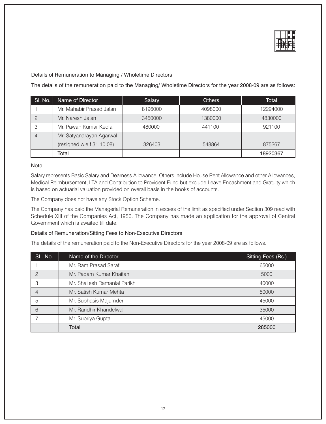

Details of Remuneration to Managing / Wholetime Directors

The details of the remuneration paid to the Managing/ Wholetime Directors for the year 2008-09 are as follows:

| SI. No. | Name of Director          | Salary  | <b>Others</b> | Total    |
|---------|---------------------------|---------|---------------|----------|
|         | Mr. Mahabir Prasad Jalan  | 8196000 | 4098000       | 12294000 |
|         | Mr. Naresh Jalan          | 3450000 | 1380000       | 4830000  |
|         | Mr. Pawan Kumar Kedia     | 480000  | 441100        | 921100   |
|         | Mr. Satyanarayan Agarwal  |         |               |          |
|         | (resigned w.e.f 31.10.08) | 326403  | 548864        | 875267   |
|         | Total                     |         |               | 18920367 |

#### Note:

Salary represents Basic Salary and Dearness Allowance. Others include House Rent Allowance and other Allowances, Medical Reimbursement, LTA and Contribution to Provident Fund but exclude Leave Encashment and Gratuity which is based on actuarial valuation provided on overall basis in the books of accounts.

The Company does not have any Stock Option Scheme.

The Company has paid the Managerial Remuneration in excess of the limit as specified under Section 309 read with Schedule XIII of the Companies Act, 1956. The Company has made an application for the approval of Central Government which is awaited till date.

#### Details of Remuneration/Sitting Fees to Non-Executive Directors

The details of the remuneration paid to the Non-Executive Directors for the year 2008-09 are as follows.

| SL. No. | Name of the Director         | Sitting Fees (Rs.) |
|---------|------------------------------|--------------------|
|         | Mr. Ram Prasad Saraf         | 65000              |
| 2       | Mr. Padam Kumar Khaitan      | 5000               |
| 3       | Mr. Shailesh Ramanlal Parikh | 40000              |
|         | Mr. Satish Kumar Mehta       | 50000              |
| 5       | Mr. Subhasis Majumder        | 45000              |
| 6       | Mr. Randhir Khandelwal       | 35000              |
|         | Mr. Supriya Gupta            | 45000              |
|         | Total                        | 285000             |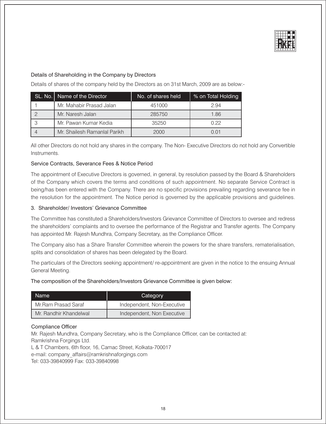

#### Details of Shareholding in the Company by Directors

Details of shares of the company held by the Directors as on 31st March, 2009 are as below:-

| SL. No.   Name of the Director | No. of shares held | % on Total Holding |
|--------------------------------|--------------------|--------------------|
| Mr. Mahabir Prasad Jalan       | 451000             | 2.94               |
| Mr. Naresh Jalan               | 285750             | 1.86               |
| Mr. Pawan Kumar Kedia          | 35250              | O 22               |
| Mr. Shailesh Ramanlal Parikh   | 2000               | 0.01               |

All other Directors do not hold any shares in the company. The Non-Executive Directors do not hold any Convertible Instruments

#### Service Contracts, Severance Fees & Notice Period

The appointment of Executive Directors is governed, in general, by resolution passed by the Board & Shareholders of the Company which covers the terms and conditions of such appointment. No separate Service Contract is being/has been entered with the Company. There are no specific provisions prevailing regarding severance fee in the resolution for the appointment. The Notice period is governed by the applicable provisions and guidelines.

#### 3. Shareholder/ Investors' Grievance Committee

The Committee has constituted a Shareholders/Investors Grievance Committee of Directors to oversee and redress the shareholders' complaints and to oversee the performance of the Registrar and Transfer agents. The Company has appointed Mr. Rajesh Mundhra, Company Secretary, as the Compliance Officer.

The Company also has a Share Transfer Committee wherein the powers for the share transfers, rematerialisation, splits and consolidation of shares has been delegated by the Board.

The particulars of the Directors seeking appointment/re-appointment are given in the notice to the ensuing Annual General Meeting.

The composition of the Shareholders/Investors Grievance Committee is given below:

| Name                   | Category                   |
|------------------------|----------------------------|
| Mr.Ram Prasad Saraf    | Independent, Non-Executive |
| Mr. Randhir Khandelwal | Independent, Non Executive |

#### **Compliance Officer**

Mr. Rajesh Mundhra, Company Secretary, who is the Compliance Officer, can be contacted at: Ramkrishna Forgings Ltd.

L & T Chambers, 6th floor, 16, Camac Street, Kolkata-700017 e-mail: company affairs@ramkrishnaforgings.com Tel: 033-39840999 Fax: 033-39840998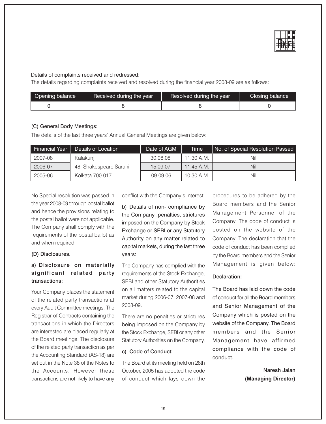

#### Details of complaints received and redressed:

The details regarding complaints received and resolved during the financial year 2008-09 are as follows:

| Opening balance | Received during the year | Resolved during the year | Closing balance |
|-----------------|--------------------------|--------------------------|-----------------|
|                 |                          |                          |                 |

#### (C) General Body Meetings:

The details of the last three years' Annual General Meetings are given below:

| <b>Financial Year</b> | Details of Location    | Date of AGM | <b>Time</b> | No. of Special Resolution Passed |
|-----------------------|------------------------|-------------|-------------|----------------------------------|
| 2007-08               | Kalakuni               | 30.08.08    | 11.30 A.M.  | Nil                              |
| 2006-07               | 48, Shakespeare Sarani | 15.09.07    | 11.45 A.M.  | Nil                              |
| 2005-06               | Kolkata 700 017        | 09.09.06    | 10.30 A.M.  | Nil                              |

No Special resolution was passed in the year 2008-09 through postal ballot and hence the provisions relating to the postal ballot were not applicable. The Company shall comply with the requirements of the postal ballot as and when required.

#### (D) Disclosures.

## a) Disclosure on materially significant related party transactions:

Your Company places the statement of the related party transactions at every Audit Committee meetings. The Registrar of Contracts containing the transactions in which the Directors are interested are placed regularly at the Board meetings. The disclosure of the related party transaction as per the Accounting Standard (AS-18) are set out in the Note 38 of the Notes to the Accounts. However these transactions are not likely to have any conflict with the Company's interest.

b) Details of non- compliance by the Company , penalties, strictures imposed on the Company by Stock Exchange or SEBI or any Statutory Authority on any matter related to capital markets, during the last three vears:

The Company has complied with the requirements of the Stock Exchange, SEBI and other Statutory Authorities on all matters related to the capital market during 2006-07, 2007-08 and 2008-09.

There are no penalties or strictures being imposed on the Company by the Stock Exchange, SEBI or any other Statutory Authorities on the Company.

#### c) Code of Conduct:

The Board at its meeting held on 28th October, 2005 has adopted the code of conduct which lays down the procedures to be adhered by the Board members and the Senior Management Personnel of the Company. The code of conduct is posted on the website of the Company. The declaration that the code of conduct has been complied by the Board members and the Senior Management is given below:

#### Declaration:

The Board has laid down the code of conduct for all the Board members and Senior Management of the Company which is posted on the website of the Company. The Board members and the Senior Management have affirmed compliance with the code of conduct

> Naresh Jalan (Managing Director)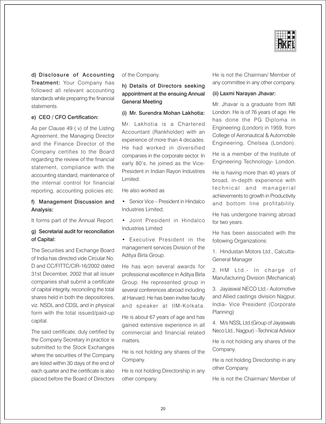

d) Disclosure of Accounting Treatment: Your Company has followed all relevant accounting standards while preparing the financial statements.

#### e) CEO / CFO Certification:

As per Clause 49 (v) of the Listing Agreement, the Managing Director and the Finance Director of the Company certifies to the Board regarding the review of the financial statement, compliance with the accounting standard, maintenance of the internal control for financial reporting, accounting policies etc.

#### f) Management Discussion and Analysis:

It forms part of the Annual Report.

#### q) Secretarial audit for reconciliation of Capital:

The Securities and Exchange Board of India has directed vide Circular No. D and CC/FITTC/CIR-16/2002 dated 31st December, 2002 that all issuer companies shall submit a certificate of capital integrity, reconciling the total shares held in both the depositories, viz. NSDL and CDSL and in physical form with the total issued/paid-up capital.

The said certificate, duly certified by the Company Secretary in practice is submitted to the Stock Exchanges where the securities of the Company are listed within 30 days of the end of each quarter and the certificate is also placed before the Board of Directors

#### of the Company.

#### h) Details of Directors seeking appointment at the ensuing Annual **General Meeting**

#### (i) Mr. Surendra Mohan Lakhotia:

Mr. Lakhotia is a Chartered Accountant (Rankholder) with an experience of more than 4 decades. He had worked in diversified companies in the corporate sector. In early 80's, he joined as the Vice-President in Indian Ravon Industries Limited.

He also worked as

- Senior Vice President in Hindalco Industries Limited:
- · Joint President in Hindalco Industries Limited
- Executive President in the management services Division of the Aditya Birla Group.

He has won several awards for professional excellence in Aditya Birla Group. He represented group in several conferences abroad including at Harvard. He has been invitee faculty and speaker at IIM-Kolkata.

He is about 67 years of age and has gained extensive experience in all commercial and financial related matters.

He is not holding any shares of the Company.

He is not holding Directorship in any other company.

He is not the Chairman/ Member of any committee in any other company.

#### (ii) Laxmi Narayan Jhavar:

Mr. Jhavar is a graduate from IMI London. He is of 76 years of age. He has done the PG Diploma in Engineering (London) in 1959, from College of Aeronautical & Automobile Engineering, Chelsea (London).

He is a member of the Institute of Engineering Technology- London.

He is having more than 40 years of broad, in-depth experience with technical and managerial achievements to growth in Productivity and bottom line profitability.

He has undergone training abroad for two years.

He has been associated with the following Organizations:

1. Hindustan Motors Ltd., Calcutta-General Manager

2. HM Ltd.- In charge of Manufacturing Division (Mechanical)

3. Jayaswal NECO Ltd.- Automotive and Allied castings division Nagpur, India- Vice President (Corporate Planning)

4. M/s NSSL Ltd. (Group of Jayaswals Neco Ltd., Nagpur) - Technical Advisor

He is not holding any shares of the Company.

He is not holding Directorship in any other Company.

He is not the Chairman/ Member of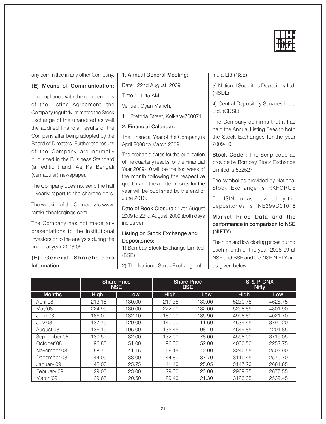

any committee in any other Company.

#### (E) Means of Communication:

In compliance with the requirements of the Listing Agreement, the Company regularly intimates the Stock Exchange of the unaudited as well the audited financial results of the Company after being adopted by the Board of Directors. Further the results of the Company are normally published in the Business Standard (all edition) and Aaj Kal Bengali (vernacular) newspaper.

The Company does not send the half - yearly report to the shareholders.

The website of the Company is www. ramkrishnaforgings.com.

The Company has not made any presentations to the institutional investors or to the analysts during the financial year 2008-09.

#### (F) General Shareholders Information

#### 1. Annual General Meeting:

Date: 22nd August, 2009

Time: 11.45 AM

Venue : Gyan Manch,

11, Pretoria Street, Kolkata-700071

2. Financial Calendar:

The Financial Year of the Company is April 2008 to March 2009.

The probable dates for the publication of the quarterly results for the Financial Year 2009-10 will be the last week of the month following the respective quarter and the audited results for the year will be published by the end of June 2010.

Date of Book Closure: 17th August 2009 to 22nd August, 2009 (both days inclusive).

#### Listing on Stock Exchange and Depositories:

1) Bombay Stock Exchange Limited (BSE)

2) The National Stock Exchange of

India Ltd.(NSE)

3) National Securities Depository Ltd. (NSDL)

4) Central Depository Services India Ltd. (CDSL)

The Company confirms that it has paid the Annual Listing Fees to both the Stock Exchanges for the year 2009-10.

Stock Code: The Scrip code as provide by Bombay Stock Exchange Limited is 532527

The symbol as provided by National Stock Exchange is RKFORGE

The ISIN no. as provided by the depositories is INE399G01015

#### Market Price Data and the performance in comparison to NSE (NIFTY)

The high and low closing prices during each month of the year 2008-09 at NSE and BSE and the NSE NIFTY are as given below:

|               | <b>Share Price</b><br><b>NSE</b> |        | <b>Share Price</b><br><b>BSE</b> |        | S & P CNX<br><b>Nifty</b> |         |
|---------------|----------------------------------|--------|----------------------------------|--------|---------------------------|---------|
| <b>Months</b> | <b>High</b>                      | Low    | <b>High</b>                      | Low    | <b>High</b>               | Low     |
| April'08      | 213.15                           | 180.00 | 217.35                           | 180.00 | 5230.75                   | 4628.75 |
| May'08        | 224.95                           | 180.00 | 222.90                           | 182.00 | 5298.85                   | 4801.90 |
| June'08       | 186.00                           | 132.10 | 187.00                           | 135.90 | 4908.80                   | 4021.70 |
| July'08       | 137.75                           | 120.00 | 140.00                           | 111.60 | 4539.45                   | 3790.20 |
| August'08     | 136.15                           | 105.00 | 135.45                           | 108.10 | 4649.85                   | 4201.85 |
| September'08  | 130.50                           | 82.00  | 132.00                           | 78.00  | 4558.00                   | 3715.05 |
| October'08    | 96.80                            | 51.00  | 96.30                            | 52.00  | 4000.50                   | 2252.75 |
| November'08   | 58.70                            | 41.15  | 56.15                            | 42.00  | 3240.55                   | 2502.90 |
| December'08   | 44.05                            | 38.00  | 44.80                            | 37.70  | 3110.45                   | 2570.70 |
| January'09    | 42.00                            | 25.75  | 41.40                            | 25.05  | 3147.20                   | 2661.65 |
| February'09   | 29.00                            | 23.00  | 29.30                            | 23.00  | 2969.75                   | 2677.55 |
| March'09      | 29.65                            | 20.50  | 29.40                            | 21.30  | 3123.35                   | 2539.45 |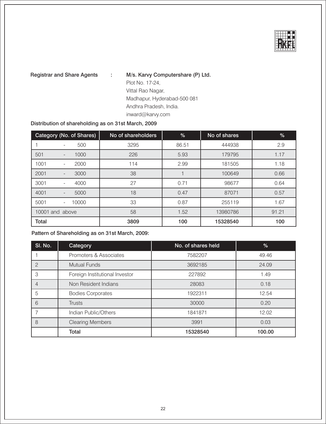

**Registrar and Share Agents** 

M/s. Karvy Computershare (P) Ltd. ÷ Plot No. 17-24, Vittal Rao Nagar, Madhapur, Hyderabad-500 081 Andhra Pradesh, India. inward@karvy.com

#### Distribution of shareholding as on 31st March, 2009

|       | Category (No. of Shares)         | No of shareholders | %     | No of shares | %     |
|-------|----------------------------------|--------------------|-------|--------------|-------|
|       | 500<br>-                         | 3295               | 86.51 | 444938       | 2.9   |
| 501   | 1000<br>$\overline{\phantom{a}}$ | 226                | 5.93  | 179795       | 1.17  |
| 1001  | 2000                             | 114                | 2.99  | 181505       | 1.18  |
| 2001  | 3000<br>-                        | 38                 |       | 100649       | 0.66  |
| 3001  | 4000<br>-                        | 27                 | 0.71  | 98677        | 0.64  |
| 4001  | 5000<br>-                        | 18                 | 0.47  | 87071        | 0.57  |
| 5001  | 10000<br>$\sim$                  | 33                 | 0.87  | 255119       | 1.67  |
|       | 10001 and above                  | 58                 | 1.52  | 13980786     | 91.21 |
| Total |                                  | 3809               | 100   | 15328540     | 100   |

Pattern of Shareholding as on 31st March, 2009:

| SI. No.        | Category                       | No. of shares held | %      |
|----------------|--------------------------------|--------------------|--------|
|                | Promoters & Associates         | 7582207            | 49.46  |
| 2              | <b>Mutual Funds</b>            | 3692185            | 24.09  |
| 3              | Foreign Institutional Investor | 227892             | 1.49   |
| $\overline{4}$ | Non Resident Indians           | 28083              | 0.18   |
| 5              | <b>Bodies Corporates</b>       | 1922311            | 12.54  |
| 6              | <b>Trusts</b>                  | 30000              | 0.20   |
|                | Indian Public/Others           | 1841871            | 12.02  |
| 8              | <b>Clearing Members</b>        | 3991               | 0.03   |
|                | <b>Total</b>                   | 15328540           | 100.00 |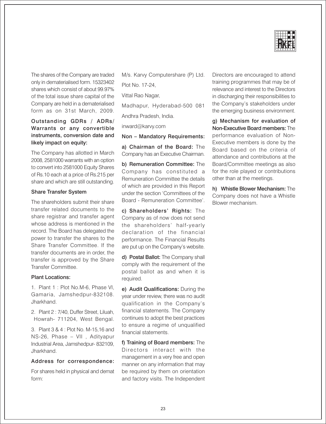

The shares of the Company are traded only in dematerialised form. 15323402 shares which consist of about 99.97% of the total issue share capital of the Company are held in a dematerialised form as on 31st March, 2009.

#### Outstanding GDRs / ADRs/ Warrants or any convertible instruments, conversion date and likely impact on equity:

The Company has allotted in March 2008, 2581000 warrants with an option to convert into 2581000 Equity Shares of Rs.10 each at a price of Rs.215 per share and which are still outstanding.

#### **Share Transfer System**

The shareholders submit their share transfer related documents to the share registrar and transfer agent whose address is mentioned in the record. The Board has delegated the power to transfer the shares to the Share Transfer Committee. If the transfer documents are in order, the transfer is approved by the Share Transfer Committee.

#### **Plant Locations:**

1. Plant 1: Plot No.M-6, Phase VI, Gamaria, Jamshedpur-832108. .lharkhand

2. Plant 2: 7/40, Duffer Street, Liluah, Howrah- 711204, West Bengal.

3. Plant 3 & 4 : Plot No. M-15.16 and NS-26, Phase - VII , Adityapur Industrial Area, Jamshedpur-832109, Jharkhand.

#### Address for correspondence:

For shares held in physical and demat form:

M/s. Karvy Computershare (P) Ltd. Plot No. 17-24,

Vittal Rao Nagar,

Madhapur, Hyderabad-500 081

Andhra Pradesh, India.

inward@karvy.com

#### Non - Mandatory Requirements:

a) Chairman of the Board: The Company has an Executive Chairman.

b) Remuneration Committee: The Company has constituted a Remuneration Committee the details of which are provided in this Report under the section 'Committees of the Board - Remuneration Committee'.

c) Shareholders' Rights: The Company as of now does not send the shareholders' half-yearly declaration of the financial performance. The Financial Results are put up on the Company's website.

d) Postal Ballot: The Company shall comply with the requirement of the postal ballot as and when it is required.

e) Audit Qualifications: During the year under review, there was no audit qualification in the Company's financial statements. The Company continues to adopt the best practices to ensure a regime of unqualified financial statements.

f) Training of Board members: The Directors interact with the management in a very free and open manner on any information that may be required by them on orientation and factory visits. The Independent

Directors are encouraged to attend training programmes that may be of relevance and interest to the Directors in discharging their responsibilities to the Company's stakeholders under the emerging business environment.

g) Mechanism for evaluation of Non-Executive Board members: The performance evaluation of Non-Executive members is done by the Board based on the criteria of attendance and contributions at the Board/Committee meetings as also for the role played or contributions other than at the meetings.

h) Whistle Blower Mechanism: The Company does not have a Whistle Blower mechanism.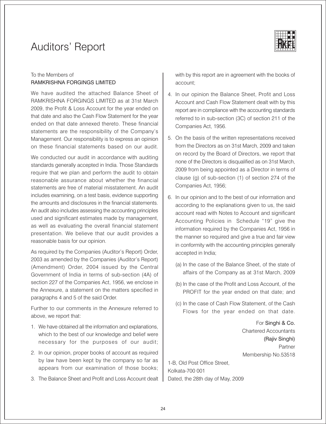## **Auditors' Report**



## To the Members of RAMKRISHNA FORGINGS LIMITED

We have audited the attached Balance Sheet of RAMKRISHNA FORGINGS LIMITED as at 31st March 2009, the Profit & Loss Account for the year ended on that date and also the Cash Flow Statement for the year ended on that date annexed thereto. These financial statements are the responsibility of the Company's Management. Our responsibility is to express an opinion on these financial statements based on our audit.

We conducted our audit in accordance with auditing standards generally accepted in India. Those Standards require that we plan and perform the audit to obtain reasonable assurance about whether the financial statements are free of material misstatement. An audit includes examining, on a test basis, evidence supporting the amounts and disclosures in the financial statements. An audit also includes assessing the accounting principles used and significant estimates made by management, as well as evaluating the overall financial statement presentation. We believe that our audit provides a reasonable basis for our opinion.

As required by the Companies (Auditor's Report) Order, 2003 as amended by the Companies (Auditor's Report) (Amendment) Order, 2004 issued by the Central Government of India in terms of sub-section (4A) of section 227 of the Companies Act, 1956, we enclose in the Annexure, a statement on the matters specified in paragraphs 4 and 5 of the said Order.

Further to our comments in the Annexure referred to above, we report that:

- 1. We have obtained all the information and explanations, which to the best of our knowledge and belief were necessary for the purposes of our audit;
- 2. In our opinion, proper books of account as required by law have been kept by the company so far as appears from our examination of those books;
- 3. The Balance Sheet and Profit and Loss Account dealt

with by this report are in agreement with the books of account:

- 4. In our opinion the Balance Sheet, Profit and Loss Account and Cash Flow Statement dealt with by this report are in compliance with the accounting standards referred to in sub-section (3C) of section 211 of the Companies Act, 1956.
- 5. On the basis of the written representations received from the Directors as on 31st March, 2009 and taken on record by the Board of Directors, we report that none of the Directors is disqualified as on 31st March, 2009 from being appointed as a Director in terms of clause (g) of sub-section  $(1)$  of section 274 of the Companies Act, 1956;
- 6. In our opinion and to the best of our information and according to the explanations given to us, the said account read with Notes to Account and significant Accounting Policies in Schedule "19" give the information required by the Companies Act, 1956 in the manner so required and give a true and fair view in conformity with the accounting principles generally accepted in India;
	- (a) In the case of the Balance Sheet, of the state of affairs of the Company as at 31st March, 2009
	- (b) In the case of the Profit and Loss Account, of the PROFIT for the year ended on that date; and
	- (c) In the case of Cash Flow Statement, of the Cash Flows for the year ended on that date.

For Singhi & Co. **Chartered Accountants** (Raiiv Singhi) Partner Membership No.53518

1-B, Old Post Office Street, Kolkata-700 001 Dated, the 28th day of May, 2009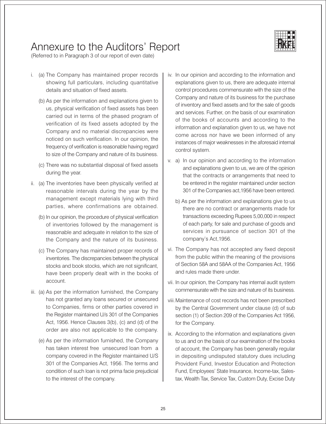## Annexure to the Auditors' Report



(Referred to in Paragraph 3 of our report of even date)

- i. (a) The Company has maintained proper records showing full particulars, including quantitative details and situation of fixed assets.
	- (b) As per the information and explanations given to us, physical verification of fixed assets has been carried out in terms of the phased program of verification of its fixed assets adopted by the Company and no material discrepancies were noticed on such verification. In our opinion, the frequency of verification is reasonable having regard to size of the Company and nature of its business.
	- (c) There was no substantial disposal of fixed assets during the year.
- ii. (a) The inventories have been physically verified at reasonable intervals during the year by the management except materials lying with third parties, where confirmations are obtained.
	- (b) In our opinion, the procedure of physical verification of inventories followed by the management is reasonable and adequate in relation to the size of the Company and the nature of its business.
	- (c) The Company has maintained proper records of inventories. The discrepancies between the physical stocks and book stocks, which are not significant, have been properly dealt with in the books of account.
- iii. (a) As per the information furnished, the Company has not granted any loans secured or unsecured to Companies, firms or other parties covered in the Register maintained U/s 301 of the Companies Act, 1956. Hence Clauses 3(b), (c) and (d) of the order are also not applicable to the company.
	- (e) As per the information furnished, the Company has taken interest free unsecured loan from a company covered in the Register maintained U/S 301 of the Companies Act, 1956. The terms and condition of such loan is not prima facie prejudicial to the interest of the company.
- iv. In our opinion and according to the information and explanations given to us, there are adequate internal control procedures commensurate with the size of the Company and nature of its business for the purchase of inventory and fixed assets and for the sale of goods and services. Further, on the basis of our examination of the books of accounts and according to the information and explanation given to us, we have not come across nor have we been informed of any instances of major weaknesses in the aforesaid internal control system.
- v. a) In our opinion and according to the information and explanations given to us, we are of the opinion that the contracts or arrangements that need to be entered in the register maintained under section 301 of the Companies act, 1956 have been entered.
	- b) As per the information and explanations give to us there are no contract or arrangements made for transactions exceeding Rupees 5,00,000 in respect of each party, for sale and purchase of goods and services in pursuance of section 301 of the company's Act, 1956.
- vi. The Company has not accepted any fixed deposit from the public within the meaning of the provisions of Section 58A and 58AA of the Companies Act, 1956 and rules made there under
- vii. In our opinion, the Company has internal audit system commensurate with the size and nature of its business.
- viii. Maintenance of cost records has not been prescribed by the Central Government under clause (d) of sub section (1) of Section 209 of the Companies Act 1956, for the Company.
- ix. According to the information and explanations given to us and on the basis of our examination of the books of account, the Company has been generally regular in depositing undisputed statutory dues including Provident Fund, Investor Education and Protection Fund, Employees' State Insurance, Income-tax, Salestax, Wealth Tax, Service Tax, Custom Duty, Excise Duty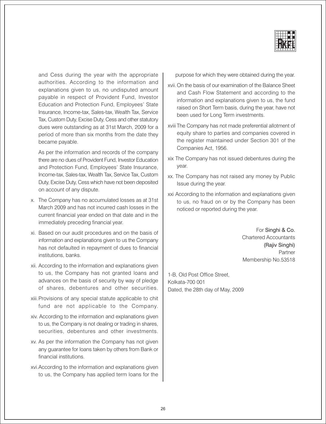

and Cess during the year with the appropriate authorities. According to the information and explanations given to us, no undisputed amount payable in respect of Provident Fund, Investor Education and Protection Fund, Employees' State Insurance, Income-tax, Sales-tax, Wealth Tax, Service Tax, Custom Duty, Excise Duty, Cess and other statutory dues were outstanding as at 31st March, 2009 for a period of more than six months from the date they became payable.

As per the information and records of the company there are no dues of Provident Fund, Investor Education and Protection Fund, Employees' State Insurance, Income-tax, Sales-tax, Wealth Tax, Service Tax, Custom Duty, Excise Duty, Cess which have not been deposited on account of any dispute.

- x. The Company has no accumulated losses as at 31st March 2009 and has not incurred cash losses in the current financial year ended on that date and in the immediately preceding financial year.
- xi. Based on our audit procedures and on the basis of information and explanations given to us the Company has not defaulted in repayment of dues to financial institutions, banks.
- xii. According to the information and explanations given to us, the Company has not granted loans and advances on the basis of security by way of pledge of shares, debentures and other securities.
- xiii. Provisions of any special statute applicable to chit fund are not applicable to the Company.
- xiv. According to the information and explanations given to us, the Company is not dealing or trading in shares, securities, debentures and other investments.
- xv. As per the information the Company has not given any guarantee for loans taken by others from Bank or financial institutions.
- xvi. According to the information and explanations given to us, the Company has applied term loans for the

purpose for which they were obtained during the year.

- xvii. On the basis of our examination of the Balance Sheet and Cash Flow Statement and according to the information and explanations given to us, the fund raised on Short Term basis, during the year, have not been used for Long Term investments.
- xviii The Company has not made preferential allotment of equity share to parties and companies covered in the register maintained under Section 301 of the Companies Act, 1956.
- xix The Company has not issued debentures during the year.
- xx. The Company has not raised any money by Public Issue during the year.
- xxi According to the information and explanations given to us, no fraud on or by the Company has been noticed or reported during the year.

For Singhi & Co. **Chartered Accountants** (Rajiv Singhi) Partner Membership No.53518

1-B, Old Post Office Street, Kolkata-700 001 Dated, the 28th day of May, 2009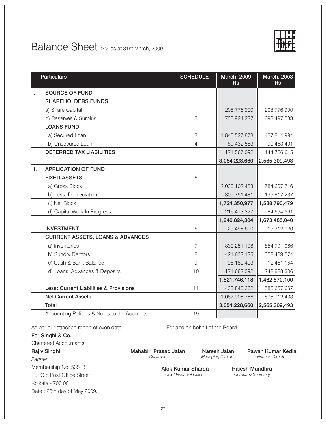

## Balance Sheet >> as at 31st March, 2009

|    | <b>Particulars</b>                          | <b>SCHEDULE</b> | <b>March, 2009</b><br><b>Rs</b> | <b>March, 2008</b><br><b>Rs</b> |
|----|---------------------------------------------|-----------------|---------------------------------|---------------------------------|
| Ι. | <b>SOURCE OF FUND</b>                       |                 |                                 |                                 |
|    | <b>SHAREHOLDERS FUNDS</b>                   |                 |                                 |                                 |
|    | a) Share Capital                            | 1               | 208,776,900                     | 208,776,900                     |
|    | b) Reserves & Surplus                       | $\overline{c}$  | 738,924,227                     | 693,497,583                     |
|    | <b>LOANS FUND</b>                           |                 |                                 |                                 |
|    | a) Secured Loan                             | 3               | 1,845,527,878                   | 1,427,814,994                   |
|    | b) Unsecured Loan                           | $\overline{4}$  | 89,432,563                      | 90,453,401                      |
|    | <b>DEFERRED TAX LIABILITIES</b>             |                 | 171,567,092                     | 144,766,615                     |
|    |                                             |                 | 3,054,228,660                   | 2,565,309,493                   |
| Ш. | <b>APPLICATION OF FUND</b>                  |                 |                                 |                                 |
|    | <b>FIXED ASSETS</b>                         | 5               |                                 |                                 |
|    | a) Gross Block                              |                 | 2,030,102,458                   | 1,784,607,716                   |
|    | b) Less: Depreciation                       |                 | 305,751,481                     | 195,817,237                     |
|    | c) Net Block                                |                 | 1,724,350,977                   | 1,588,790,479                   |
|    | d) Capital Work In Progress                 |                 | 216,473,327                     | 84,694,561                      |
|    |                                             |                 | 1,940,824,304                   | 1,673,485,040                   |
|    | <b>INVESTMENT</b>                           | 6               | 25,498,600                      | 15,912,020                      |
|    | <b>CURRENT ASSETS, LOANS &amp; ADVANCES</b> |                 |                                 |                                 |
|    | a) Inventories                              | 7               | 830,251,198                     | 854,791,066                     |
|    | b) Sundry Debtors                           | 8               | 421,632,125                     | 352,489,574                     |
|    | c) Cash & Bank Balance                      | 9               | 98,180,403                      | 12,461,154                      |
|    | d) Loans, Advances & Deposits               | 10              | 171,682,392                     | 242,828,306                     |
|    |                                             |                 | 1,521,746,118                   | 1,462,570,100                   |
|    | Less: Current Liabilities & Provisions      | 11              | 433,840,362                     | 586,657,667                     |
|    | <b>Net Current Assets</b>                   |                 | 1,087,905,756                   | 875,912,433                     |
|    | <b>Total</b>                                |                 | 3,054,228,660                   | 2,565,309,493                   |
|    | Accounting Policies & Notes to the Accounts | 19              |                                 |                                 |

As per our attached report of even date

For Singhi & Co.

**Chartered Accountants** 

Rajiv Singhi

Partner Membership No. 53518 1B, Old Post Office Street Kolkata - 700 001 Date: 28th day of May 2009. For and on behalf of the Board

Naresh Jalan Managing Director

Pawan Kumar Kedia Finance Director

Alok Kumar Sharda **Chief Financial Officer** 

Rajesh Mundhra Company Secretary

Mahabir Prasad Jalan

Chairman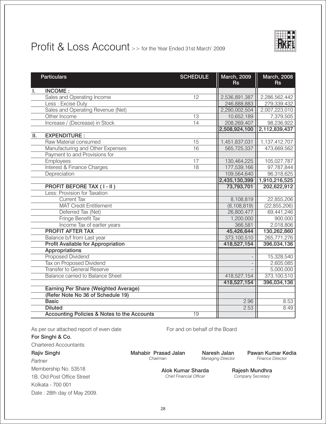

## Profit & Loss Account >> for the Year Ended 31st March' 2009

|                 | <b>Particulars</b>                                     | <b>SCHEDULE</b> | <b>March, 2009</b><br><b>Rs</b> | <b>March, 2008</b><br><b>Rs</b> |
|-----------------|--------------------------------------------------------|-----------------|---------------------------------|---------------------------------|
| Τ.              | <b>INCOME:</b>                                         |                 |                                 |                                 |
|                 | Sales and Operating Income                             | 12              | 2,536,891,387                   | 2,286,562,442                   |
|                 | Less: Excise Duty                                      |                 | 246,888,883                     | 279,339,432                     |
|                 | Sales and Operating Revenue (Net)                      |                 | 2,290,002,504                   | 2,007,223,010                   |
|                 | Other Income                                           | 13              | 10,652,189                      | 7,379,505                       |
|                 | Increase / (Decrease) in Stock                         | $\overline{14}$ | 208,269,407                     | 98,236,922                      |
|                 |                                                        |                 | 2,508,924,100                   | 2,112,839,437                   |
| $\mathbf{II}$ . | <b>EXPENDITURE:</b>                                    |                 |                                 |                                 |
|                 | Raw Material consumed                                  | 15              | 1,451,837,031                   | 1,137,412,707                   |
|                 | Manufacturing and Other Expenses                       | $\overline{16}$ | 565,725,337                     | 473,669,562                     |
|                 | Payment to and Provisions for                          |                 |                                 |                                 |
|                 | Employees                                              | $\overline{17}$ | 130,464,225                     | 105,027,787                     |
|                 | <b>Interest &amp; Finance Charges</b>                  | $\overline{18}$ | 177,539,166                     | 97,787,844                      |
|                 | Depreciation                                           |                 | 109,564,640                     | 96,318,625                      |
|                 |                                                        |                 | 2,435,130,399                   | 1,910,216,525                   |
|                 | <b>PROFIT BEFORE TAX (I-II)</b>                        |                 | 73,793,701                      | 202,622,912                     |
|                 | Less: Provision for Taxation                           |                 |                                 |                                 |
|                 | <b>Current Tax</b>                                     |                 | 8,108,819                       | 22,855,206                      |
|                 | <b>MAT Credit Entitlement</b>                          |                 | (8, 108, 819)                   | (22, 855, 206)                  |
|                 | Deferred Tax (Net)                                     |                 | 26,800,477                      | 69,441,246                      |
|                 | <b>Fringe Benefit Tax</b>                              |                 | 1,200,000                       | 900,000                         |
|                 | Income Tax of earlier years                            |                 | 366,581                         | 2,018,806                       |
|                 | <b>PROFIT AFTER TAX</b>                                |                 | 45,426,644                      | 130,262,860                     |
|                 | Balance b/f from Last year                             |                 | 373,100,510                     | 265,771,276                     |
|                 | <b>Profit Available for Appropriation</b>              |                 | 418,527,154                     | 396,034,136                     |
|                 | <b>Appropriations</b>                                  |                 |                                 |                                 |
|                 | Proposed Dividend                                      |                 |                                 | 15,328,540                      |
|                 | Tax on Proposed Dividend                               |                 |                                 | 2,605,085                       |
|                 | <b>Transfer to General Reserve</b>                     |                 |                                 | 5,000,000                       |
|                 | <b>Balance carried to Balance Sheet</b>                |                 | 418,527,154                     | 373,100,510                     |
|                 |                                                        |                 | 418,527,154                     | 396,034,136                     |
|                 | <b>Earning Per Share (Weighted Average)</b>            |                 |                                 |                                 |
|                 | (Refer Note No 36 of Schedule 19)                      |                 |                                 |                                 |
|                 | <b>Basic</b>                                           |                 | 2.96                            | 8.53                            |
|                 | <b>Diluted</b>                                         |                 | 2.53                            | 8.49                            |
|                 | <b>Accounting Policies &amp; Notes to the Accounts</b> | $\overline{19}$ |                                 |                                 |

As per our attached report of even date

For Singhi & Co.

**Chartered Accountants** 

### **Rajiv Singhi**

Partner Membership No. 53518 1B, Old Post Office Street Kolkata - 700 001 Date: 28th day of May 2009. For and on behalf of the Board

Mahabir Prasad Jalan Chairman

Naresh Jalan **Managing Director**  Pawan Kumar Kedia Finance Director

Alok Kumar Sharda **Chief Financial Officer** 

Rajesh Mundhra Company Secretary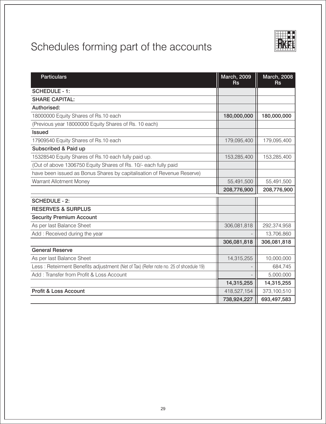

| <b>Particulars</b>                                                                   | <b>March, 2009</b><br><b>Rs</b> | <b>March, 2008</b><br><b>Rs</b> |
|--------------------------------------------------------------------------------------|---------------------------------|---------------------------------|
| <b>SCHEDULE - 1:</b>                                                                 |                                 |                                 |
| <b>SHARE CAPITAL:</b>                                                                |                                 |                                 |
| Authorised:                                                                          |                                 |                                 |
| 18000000 Equity Shares of Rs.10 each                                                 | 180,000,000                     | 180,000,000                     |
| (Previous year 18000000 Equity Shares of Rs. 10 each)                                |                                 |                                 |
| <b>Issued</b>                                                                        |                                 |                                 |
| 17909540 Equity Shares of Rs.10 each                                                 | 179,095,400                     | 179,095,400                     |
| Subscribed & Paid up                                                                 |                                 |                                 |
| 15328540 Equity Shares of Rs.10 each fully paid up.                                  | 153,285,400                     | 153,285,400                     |
| (Out of above 1306750 Equity Shares of Rs. 10/- each fully paid                      |                                 |                                 |
| have been issued as Bonus Shares by capitalisation of Revenue Reserve)               |                                 |                                 |
| Warrant Allotment Money                                                              | 55,491,500                      | 55,491,500                      |
|                                                                                      | 208,776,900                     | 208,776,900                     |
| <b>SCHEDULE - 2:</b>                                                                 |                                 |                                 |
| <b>RESERVES &amp; SURPLUS</b>                                                        |                                 |                                 |
| <b>Security Premium Account</b>                                                      |                                 |                                 |
| As per last Balance Sheet                                                            | 306,081,818                     | 292,374,958                     |
| Add: Received during the year                                                        |                                 | 13,706,860                      |
|                                                                                      | 306,081,818                     | 306,081,818                     |
| <b>General Reserve</b>                                                               |                                 |                                 |
| As per last Balance Sheet                                                            | 14,315,255                      | 10,000,000                      |
| Less: Reteirment Benefits adjustment (Net of Tax) (Refer note no. 25 of shcedule 19) |                                 | 684,745                         |
| Add: Transfer from Profit & Loss Account                                             |                                 | 5,000,000                       |
|                                                                                      | 14,315,255                      | 14,315,255                      |
| Profit & Loss Account                                                                | 418,527,154                     | 373,100,510                     |
|                                                                                      | 738,924,227                     | 693,497,583                     |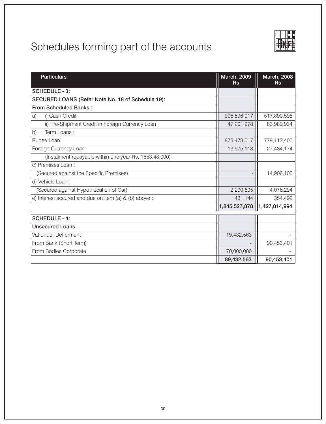| <b>Particulars</b>                                     | <b>March, 2009</b><br><b>Rs</b> | <b>March, 2008</b><br><b>Rs</b> |
|--------------------------------------------------------|---------------------------------|---------------------------------|
| <b>SCHEDULE - 3:</b>                                   |                                 |                                 |
| SECURED LOANS (Refer Note No. 18 of Schedule 19):      |                                 |                                 |
| <b>From Scheduled Banks:</b>                           |                                 |                                 |
| i) Cash Credit<br>a)                                   | 906,596,017                     | 517,890,595                     |
| ii) Pre-Shipment Credit in Foreign Currency Loan       | 47,201,978                      | 83,989,934                      |
| Term Loans:<br>b)                                      |                                 |                                 |
| Rupee Loan                                             | 875,473,017                     | 779,113,400                     |
| Foreign Currency Loan                                  | 13,575,118                      | 27,484,174                      |
| (Instalment repayable within one year Rs. 1653,48,000) |                                 |                                 |
| c) Premises Loan :                                     |                                 |                                 |
| (Secured against the Specific Premises)                |                                 | 14,906,105                      |
| d) Vehicle Loan :                                      |                                 |                                 |
| (Secured against Hypothecation of Car)                 | 2,200,605                       | 4,076,294                       |
| e) Interest accured and due on item (a) & (b) above :  | 481,144                         | 354,492                         |
|                                                        | 1,845,527,878                   | 1,427,814,994                   |
| <b>SCHEDULE - 4:</b>                                   |                                 |                                 |
| <b>Unsecured Loans</b>                                 |                                 |                                 |
| Vat under Defferment                                   | 19,432,563                      |                                 |
| From Bank (Short Term)                                 |                                 | 90,453,401                      |
| From Bodies Corporate                                  | 70,000,000                      |                                 |
|                                                        | 89,432,563                      | 90,453,401                      |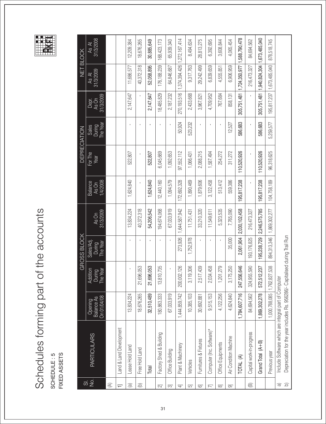# Schedules forming part of the accounts SCHEDULE: 5<br>FIXED ASSETS

| $\overline{\varpi}$          |                                                                                                                   |                                             |                                | <b>GROSS BLOCK</b>               |                    |                                     |                 | <b>DEPRECIATION</b>                |                             |                               | NET BLOCK           |
|------------------------------|-------------------------------------------------------------------------------------------------------------------|---------------------------------------------|--------------------------------|----------------------------------|--------------------|-------------------------------------|-----------------|------------------------------------|-----------------------------|-------------------------------|---------------------|
| $rac{1}{2}$                  | <b>PARTICULARS</b>                                                                                                | On 01/04/08<br><b>Balance As</b><br>Opening | During<br>The Year<br>Addition | Sales/Adj.<br>During<br>The Year | As On<br>31/3/2009 | 1/4/2008<br><b>Balance</b><br>As On | For The<br>Year | During<br>The Year<br><b>Sales</b> | 31/3/2009<br>Depr.<br>As On | 31/3/2009<br>$As$ $At$        | As At<br> 31/3/2008 |
| $\mathfrak{D}$               |                                                                                                                   |                                             |                                |                                  |                    |                                     |                 |                                    |                             |                               |                     |
|                              | Land & Land Development                                                                                           |                                             |                                |                                  |                    |                                     |                 |                                    |                             |                               |                     |
| $\circledR$                  | Lease Hold Land                                                                                                   | 13,834,224                                  | ï                              |                                  | 13,834,224         | 1,624,840                           | 522,807         |                                    | 2,147,647                   | 11,686,577                    | 12,209,384          |
| $\circledcirc$               | Free Hold Land                                                                                                    | 18,676,265                                  | 21,696,053                     |                                  | 40,372,318         |                                     | $\blacksquare$  |                                    |                             | 40,372,318                    | 18,676,265          |
|                              | Total                                                                                                             | 32,510,489                                  | 21,696,053                     |                                  | 54,206,542         | 1,624,840                           | 522,807         |                                    | 2,147,647                   | 52,058,895                    | 30,885,649          |
| ß                            | Factory Shed & Building                                                                                           | 180,863,333                                 | 13,810,735                     |                                  | 194,674,068        | 12,440,160                          | 6,045,669       |                                    | 18,485,829                  | 176, 188, 239                 | 168,423,173         |
| 3                            | Office Building                                                                                                   | 67,033,919                                  |                                |                                  | 67,033,919         | 1,094,579                           | 1,092,653       |                                    | 2,187,232                   | 64,846,687                    | 65,939,340          |
| ₹                            | Plant & Machinery                                                                                                 | 1,444,859,742                               | 200,002,126                    | 273,926                          | 1,644,587,942      | 172,692,328                         | 97,552,112      | 50,924                             | 270, 193, 516               | 1,374,394,426   1,272,167,414 |                     |
| ច                            | Vehicles                                                                                                          | 10,385,103                                  | 3,119,306                      | 1,752,978                        | 11,751,431         | 1,890,469                           | 1,066,431       | 523,232                            | 2,433,668                   | 9,317,763                     | 8,494,634           |
| 6                            | Furnitures & Fixtures                                                                                             | 30,692,881                                  | 2,517,439                      | ×,                               | 33,210,320         | 1,879,606                           | 2,088,215       | f,                                 | 3,967,821                   | 29,242,499                    | 28,813,275          |
| ᄛ                            | Computer (Inc. Software)*                                                                                         | 9,515,153                                   | 2,034,458                      |                                  | 11,549,611         | 3,122,458                           | 1,587,494       |                                    | 4,709,952                   | 6,839,659                     | 6,392,695           |
| 8                            | Office Equipments                                                                                                 | 4,122,256                                   | PQ<br>1,201,27                 | ï                                | 5,323,535          | 513,412                             | 254,272         | J.                                 | 767,684                     | 4,555,851                     | 3,608,844           |
| ြ                            | Air Condition Machine                                                                                             | 4,624,840                                   | 3,175,250                      | 35,000                           | 7,765,090          | 559,386                             | 311,272         | 12,527                             | 858,131                     | 6,906,959                     | 4,065,454           |
|                              | TOTAL (A)                                                                                                         | 1,784,607,716                               | 247,556,646                    | 2,061,904                        | 2,030,102,458      | 195, 817, 238                       | 110,520,926     | 586,683                            | 305,751,481                 | 1,724,350,977                 | 1,588,790,478       |
| ⊕                            | Capital work-in-progress                                                                                          | 84,694,562                                  | 324,955,590                    | 193,176,825                      | 216,473,327        |                                     |                 |                                    |                             | 216,473,327                   | 84,694,562          |
|                              | Grand Total (A+B)                                                                                                 | 1,869,302,278                               | 572,512,237                    | 195,238,729                      | 2,246,575,785      | 195,817,238                         | 110,520,926     | 586,683                            | 305,751,481                 | 1,940,824,304 1,673,485,040   |                     |
|                              | Previous year                                                                                                     | 1,000,788,085   1,762,827,538               |                                | 894, 313, 346                    | 1,869,302,277      | 104,758,189                         | 96,318,625      | 5,259,577                          | 195,817,237                 | 1,673,485,040                 | 878,518,745         |
| $\widehat{\mathbf{D}}$<br>লি | Depreciation for the year includes Rs. 956286/- Capitalis<br>Include Software which are integral part of Computer |                                             |                                | sed during Trail Run             |                    |                                     |                 |                                    |                             |                               |                     |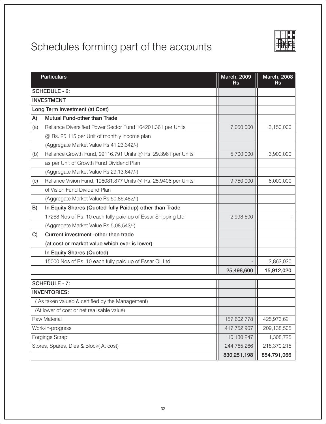

| <b>Particulars</b>                                                    | <b>March, 2009</b><br><b>Rs</b> | <b>March, 2008</b><br><b>Rs</b> |
|-----------------------------------------------------------------------|---------------------------------|---------------------------------|
| <b>SCHEDULE - 6:</b>                                                  |                                 |                                 |
| <b>INVESTMENT</b>                                                     |                                 |                                 |
| Long Term Investment (at Cost)                                        |                                 |                                 |
| Mutual Fund-other than Trade<br>A)                                    |                                 |                                 |
| Reliance Diversified Power Sector Fund 164201.361 per Units<br>(a)    | 7,050,000                       | 3,150,000                       |
| @ Rs. 25.115 per Unit of monthly income plan                          |                                 |                                 |
| (Aggregate Market Value Rs 41,23,342/-)                               |                                 |                                 |
| Reliance Growth Fund, 99116.791 Units @ Rs. 29.3961 per Units<br>(b)  | 5,700,000                       | 3,900,000                       |
| as per Unit of Growth Fund Dividend Plan                              |                                 |                                 |
| (Aggregate Market Value Rs 29,13,647/-)                               |                                 |                                 |
| Reliance Vision Fund, 196081.877 Units @ Rs. 25.9406 per Units<br>(c) | 9,750,000                       | 6,000,000                       |
| of Vision Fund Dividend Plan                                          |                                 |                                 |
| (Aggregate Market Value Rs 50,86,482/-)                               |                                 |                                 |
| In Equity Shares (Quoted-fully Paidup) other than Trade<br>B)         |                                 |                                 |
| 17268 Nos of Rs. 10 each fully paid up of Essar Shipping Ltd.         | 2,998,600                       |                                 |
| (Aggregate Market Value Rs 5,08,543/-)                                |                                 |                                 |
| Current investment -other then trade<br>C)                            |                                 |                                 |
| (at cost or market value which ever is lower)                         |                                 |                                 |
| In Equity Shares (Quoted)                                             |                                 |                                 |
| 15000 Nos of Rs. 10 each fully paid up of Essar Oil Ltd.              |                                 | 2,862,020                       |
|                                                                       | 25,498,600                      | 15,912,020                      |
| <b>SCHEDULE - 7:</b>                                                  |                                 |                                 |
| <b>INVENTORIES:</b>                                                   |                                 |                                 |
| (As taken valued & certified by the Management)                       |                                 |                                 |
| (At lower of cost or net realisable value)                            |                                 |                                 |
| <b>Raw Material</b>                                                   | 157,602,778                     | 425,973,621                     |
| Work-in-progress                                                      | 417,752,907                     | 209,138,505                     |
| Forgings Scrap                                                        | 10,130,247                      | 1,308,725                       |
| Stores, Spares, Dies & Block(At cost)                                 | 244,765,266                     | 218,370,215                     |
|                                                                       | 830,251,198                     | 854,791,066                     |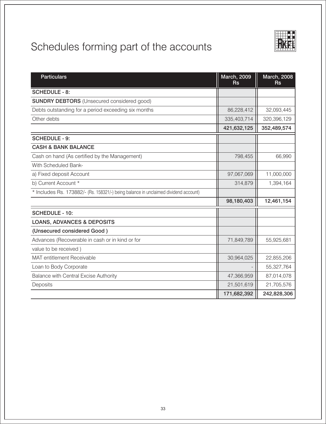| <b>Particulars</b>                                                                  | <b>March, 2009</b><br><b>Rs</b> | <b>March, 2008</b><br><b>Rs</b> |
|-------------------------------------------------------------------------------------|---------------------------------|---------------------------------|
| <b>SCHEDULE - 8:</b>                                                                |                                 |                                 |
| <b>SUNDRY DEBTORS</b> (Unsecured considered good)                                   |                                 |                                 |
| Debts outstanding for a period exceeding six months                                 | 86,228,412                      | 32,093,445                      |
| Other debts                                                                         | 335,403,714                     | 320,396,129                     |
|                                                                                     | 421,632,125                     | 352,489,574                     |
| <b>SCHEDULE - 9:</b>                                                                |                                 |                                 |
| <b>CASH &amp; BANK BALANCE</b>                                                      |                                 |                                 |
| Cash on hand (As certified by the Management)                                       | 798,455                         | 66,990                          |
| With Scheduled Bank-                                                                |                                 |                                 |
| a) Fixed deposit Account                                                            | 97,067,069                      | 11,000,000                      |
| b) Current Account *                                                                | 314,879                         | 1,394,164                       |
| * Includes Rs. 173882/- (Rs. 158321/-) being balance in unclaimed dividend account) |                                 |                                 |
|                                                                                     | 98,180,403                      | 12,461,154                      |
| <b>SCHEDULE - 10:</b>                                                               |                                 |                                 |
| <b>LOANS, ADVANCES &amp; DEPOSITS</b>                                               |                                 |                                 |
| (Unsecured considered Good)                                                         |                                 |                                 |
| Advances (Recoverable in cash or in kind or for                                     | 71,849,789                      | 55,925,681                      |
| value to be received)                                                               |                                 |                                 |
| MAT entitlement Receivable                                                          | 30,964,025                      | 22,855,206                      |
| Loan to Body Corporate                                                              |                                 | 55,327,764                      |
| Balance with Central Excise Authority                                               | 47,366,959                      | 87,014,078                      |
| Deposits                                                                            | 21,501,619                      | 21,705,576                      |
|                                                                                     | 171,682,392                     | 242,828,306                     |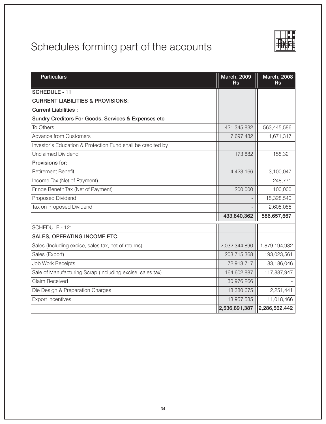

| <b>Particulars</b>                                          | <b>March, 2009</b><br><b>Rs</b> | <b>March, 2008</b><br><b>Rs</b> |
|-------------------------------------------------------------|---------------------------------|---------------------------------|
| <b>SCHEDULE - 11</b>                                        |                                 |                                 |
| <b>CURRENT LIABILITIES &amp; PROVISIONS:</b>                |                                 |                                 |
| <b>Current Liabilities:</b>                                 |                                 |                                 |
| Sundry Creditors For Goods, Services & Expenses etc         |                                 |                                 |
| To Others                                                   | 421,345,832                     | 563,445,586                     |
| <b>Advance from Customers</b>                               | 7,697,482                       | 1,671,317                       |
| Investor's Education & Protection Fund shall be credited by |                                 |                                 |
| <b>Unclaimed Dividend</b>                                   | 173,882                         | 158,321                         |
| Provisions for:                                             |                                 |                                 |
| <b>Retirement Benefit</b>                                   | 4,423,166                       | 3,100,047                       |
| Income Tax (Net of Payment)                                 |                                 | 248,771                         |
| Fringe Benefit Tax (Net of Payment)                         | 200,000                         | 100,000                         |
| Proposed Dividend                                           |                                 | 15,328,540                      |
| Tax on Proposed Dividend                                    |                                 | 2,605,085                       |
|                                                             | 433,840,362                     | 586,657,667                     |
| SCHEDULE - 12:                                              |                                 |                                 |
| SALES, OPERATING INCOME ETC.                                |                                 |                                 |
| Sales (Including excise, sales tax, net of returns)         | 2,032,344,890                   | 1,879,194,982                   |
| Sales (Export)                                              | 203,715,368                     | 193,023,561                     |
| <b>Job Work Receipts</b>                                    | 72,913,717                      | 83,186,046                      |
| Sale of Manufacturing Scrap (Including excise, sales tax)   | 164,602,887                     | 117,887,947                     |
| <b>Claim Received</b>                                       | 30,976,266                      |                                 |
| Die Design & Preparation Charges                            | 18,380,675                      | 2,251,441                       |
| <b>Export Incentives</b>                                    | 13,957,585                      | 11,018,466                      |
|                                                             | 2,536,891,387                   | 2,286,562,442                   |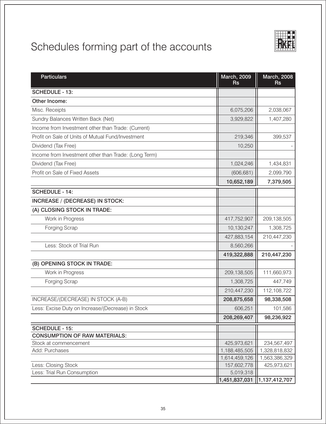

| <b>Particulars</b>                                   | <b>March, 2009</b><br><b>Rs</b> | <b>March, 2008</b><br><b>Rs</b> |
|------------------------------------------------------|---------------------------------|---------------------------------|
| SCHEDULE - 13:                                       |                                 |                                 |
| Other Income:                                        |                                 |                                 |
| Misc. Receipts                                       | 6,075,206                       | 2,038,067                       |
| Sundry Balances Written Back (Net)                   | 3,929,822                       | 1,407,280                       |
| Income from Investment other than Trade: (Current)   |                                 |                                 |
| Profit on Sale of Units of Mutual Fund/Investment    | 219,346                         | 399,537                         |
| Dividend (Tax Free)                                  | 10,250                          |                                 |
| Income from Investment other than Trade: (Long Term) |                                 |                                 |
| Dividend (Tax Free)                                  | 1,024,246                       | 1,434,831                       |
| Profit on Sale of Fixed Assets                       | (606, 681)                      | 2,099,790                       |
|                                                      | 10,652,189                      | 7,379,505                       |
| <b>SCHEDULE - 14:</b>                                |                                 |                                 |
| <b>INCREASE / (DECREASE) IN STOCK:</b>               |                                 |                                 |
| (A) CLOSING STOCK IN TRADE:                          |                                 |                                 |
| Work in Progress                                     | 417,752,907                     | 209,138,505                     |
| <b>Forging Scrap</b>                                 | 10,130,247                      | 1,308,725                       |
|                                                      | 427,883,154                     | 210,447,230                     |
| Less: Stock of Trial Run                             | 8,560,266                       |                                 |
|                                                      | 419,322,888                     | 210,447,230                     |
| (B) OPENING STOCK IN TRADE:                          |                                 |                                 |
| Work in Progress                                     | 209,138,505                     | 111,660,973                     |
| Forging Scrap                                        | 1,308,725                       | 447,749                         |
|                                                      | 210,447,230                     | 112,108,722                     |
| INCREASE/(DECREASE) IN STOCK (A-B)                   | 208,875,658                     | 98,338,508                      |
| Less: Excise Duty on Increase/(Decrease) in Stock    | 606,251                         | 101,586                         |
|                                                      | 208,269,407                     | 98,236,922                      |
| <b>SCHEDULE - 15:</b>                                |                                 |                                 |
| <b>CONSUMPTION OF RAW MATERIALS:</b>                 |                                 |                                 |
| Stock at commencement                                | 425,973,621                     | 234,567,497                     |
| Add: Purchases                                       | 1,188,485,505                   | 1,328,818,832                   |
|                                                      | 1,614,459,126                   | 1,563,386,329                   |
| Less: Closing Stock                                  | 157,602,778                     | 425,973,621                     |
| Less: Trial Run Consumption                          | 5,019,318                       | $ 1,451,837,031 $ 1,137,412,707 |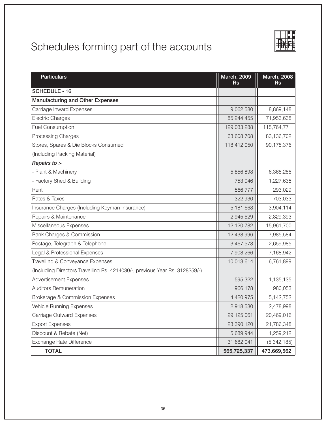| <b>Particulars</b>                                                          | <b>March, 2009</b><br><b>Rs</b> | <b>March, 2008</b><br><b>Rs</b> |
|-----------------------------------------------------------------------------|---------------------------------|---------------------------------|
| <b>SCHEDULE - 16</b>                                                        |                                 |                                 |
| <b>Manufacturing and Other Expenses</b>                                     |                                 |                                 |
| Carriage Inward Expenses                                                    | 9,062,580                       | 8,869,148                       |
| <b>Electric Charges</b>                                                     | 85,244,455                      | 71,953,638                      |
| <b>Fuel Consumption</b>                                                     | 129,033,288                     | 115,764,771                     |
| Processing Charges                                                          | 63,608,708                      | 83,136,702                      |
| Stores, Spares & Die Blocks Consumed                                        | 118,412,050                     | 90,175,376                      |
| (Including Packing Material)                                                |                                 |                                 |
| Repairs to :-                                                               |                                 |                                 |
| - Plant & Machinery                                                         | 5,856,898                       | 6,365,285                       |
| - Factory Shed & Building                                                   | 753,046                         | 1,227,635                       |
| Rent                                                                        | 566,777                         | 293,029                         |
| Rates & Taxes                                                               | 322,930                         | 703,033                         |
| Insurance Charges (Including Keyman Insurance)                              | 5,181,668                       | 3,904,114                       |
| Repairs & Maintenance                                                       | 2,945,529                       | 2,829,393                       |
| Miscellaneous Expenses                                                      | 12,120,782                      | 15,961,700                      |
| Bank Charges & Commission                                                   | 12,438,996                      | 7,985,584                       |
| Postage, Telegraph & Telephone                                              | 3,467,578                       | 2,659,985                       |
| Legal & Professional Expenses                                               | 7,908,266                       | 7,168,942                       |
| Travelling & Conveyance Expenses                                            | 10,013,614                      | 6,761,899                       |
| (Including Directors Travelling Rs. 4214030/-, previous Year Rs. 3128259/-) |                                 |                                 |
| <b>Advertisement Expenses</b>                                               | 595,322                         | 1,135,135                       |
| <b>Auditors Remuneration</b>                                                | 966,178                         | 980,053                         |
| Brokerage & Commission Expenses                                             | 4,420,975                       | 5,142,752                       |
| Vehicle Running Expenses                                                    | 2,918,530                       | 2,478,998                       |
| <b>Carriage Outward Expenses</b>                                            | 29,125,061                      | 20,469,016                      |
| <b>Export Expenses</b>                                                      | 23,390,120                      | 21,786,348                      |
| Discount & Rebate (Net)                                                     | 5,689,944                       | 1,259,212                       |
| Exchange Rate Difference                                                    | 31,682,041                      | (5,342,185)                     |
| <b>TOTAL</b>                                                                | 565,725,337                     | 473,669,562                     |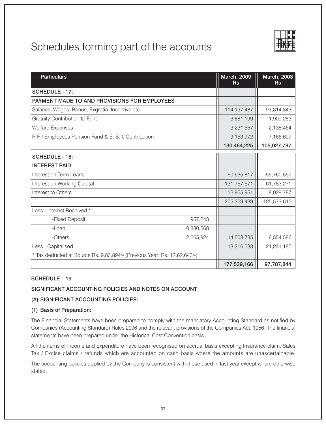| <b>Particulars</b>                                                       | <b>March, 2009</b><br><b>Rs</b> | <b>March, 2008</b><br><b>Rs</b> |
|--------------------------------------------------------------------------|---------------------------------|---------------------------------|
| SCHEDULE - 17:                                                           |                                 |                                 |
| PAYMENT MADE TO AND PROVISIONS FOR EMPLOYEES                             |                                 |                                 |
| Salaries, Wages, Bonus, Exgratia, Incentive etc.                         | 114, 197, 487                   | 93,814,343                      |
| Gratuity Contribution to Fund                                            | 3,881,199                       | 1,909,283                       |
| <b>Welfare Expenses</b>                                                  | 3,231,567                       | 2,138,464                       |
| P. F / Employees Pension Fund & E. S. I. Contribution                    | 9,153,972                       | 7,165,697                       |
|                                                                          | 130,464,225                     | 105,027,787                     |
| <b>SCHEDULE - 18:</b>                                                    |                                 |                                 |
| <b>INTEREST PAID</b>                                                     |                                 |                                 |
| Interest on Term Loans                                                   | 60,635,817                      | 55,760,557                      |
| Interest on Working Capital                                              | 131,767,671                     | 61,783,271                      |
| Interest to Others                                                       | 12,955,951                      | 8,029,787                       |
|                                                                          | 205,359,439                     | 125,573,615                     |
| Less: Interest Received *                                                |                                 |                                 |
| -Fixed Deposit<br>957,243                                                |                                 |                                 |
| 10,880,568<br>$-Loan$                                                    |                                 |                                 |
| -Others<br>2,665,924                                                     | 14,503,735                      | 6,554,586                       |
| Less: Capitalised                                                        | 13,316,538                      | 21,231,185                      |
| * Tax deducted at Source Rs. 9,83,894/- (Previous Year: Rs. 12,62,643/-) |                                 |                                 |
|                                                                          | 177,539,166                     | 97,787,844                      |

#### SCHEDULE - 19

## SIGNIFICANT ACCOUNTING POLICIES AND NOTES ON ACCOUNT

#### (A) SIGNIFICANT ACCOUNTING POLICIES:

#### (1) Basis of Preparation:

The Financial Statements have been prepared to comply with the mandatory Accounting Standard as notified by Companies (Accounting Standard) Rules 2006 and the relevant provisions of the Companies Act, 1956. The financial statements have been prepared under the Historical Cost Convention basis.

All the items of Income and Expenditure have been recognised on accrual basis excepting Insurance claim, Sales Tax / Excise claims / refunds which are accounted on cash basis where the amounts are unascertainable.

The accounting policies applied by the Company is consistent with those used in last year except where otherwise stated.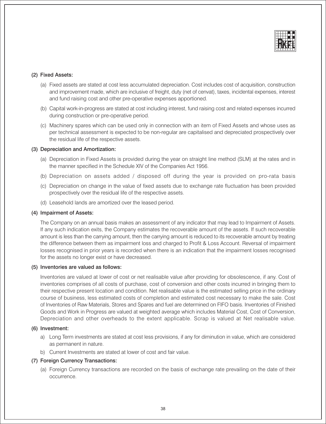

#### (2) Fixed Assets:

- (a) Fixed assets are stated at cost less accumulated depreciation. Cost includes cost of acquisition, construction and improvement made, which are inclusive of freight, duty (net of cenvat), taxes, incidental expenses, interest and fund raising cost and other pre-operative expenses apportioned.
- (b) Capital work-in-progress are stated at cost including interest, fund raising cost and related expenses incurred during construction or pre-operative period.
- (c) Machinery spares which can be used only in connection with an item of Fixed Assets and whose uses as per technical assessment is expected to be non-regular are capitalised and depreciated prospectively over the residual life of the respective assets.

#### (3) Depreciation and Amortization:

- (a) Depreciation in Fixed Assets is provided during the year on straight line method (SLM) at the rates and in the manner specified in the Schedule XIV of the Companies Act 1956.
- (b) Depreciation on assets added / disposed off during the year is provided on pro-rata basis
- (c) Depreciation on change in the value of fixed assets due to exchange rate fluctuation has been provided prospectively over the residual life of the respective assets.
- (d) Leasehold lands are amortized over the leased period.

#### (4) Impairment of Assets:

The Company on an annual basis makes an assessment of any indicator that may lead to Impairment of Assets. If any such indication exits, the Company estimates the recoverable amount of the assets. If such recoverable amount is less than the carrying amount, then the carrying amount is reduced to its recoverable amount by treating the difference between them as impairment loss and charged to Profit & Loss Account. Reversal of impairment losses recognised in prior years is recorded when there is an indication that the impairment losses recognised for the assets no longer exist or have decreased.

#### (5) Inventories are valued as follows:

Inventories are valued at lower of cost or net realisable value after providing for obsolescence, if any. Cost of inventories comprises of all costs of purchase, cost of conversion and other costs incurred in bringing them to their respective present location and condition. Net realisable value is the estimated selling price in the ordinary course of business, less estimated costs of completion and estimated cost necessary to make the sale. Cost of Inventories of Raw Materials, Stores and Spares and fuel are determined on FIFO basis. Inventories of Finished Goods and Work in Progress are valued at weighted average which includes Material Cost, Cost of Conversion, Depreciation and other overheads to the extent applicable. Scrap is valued at Net realisable value.

#### (6) Investment:

- a) Long Term investments are stated at cost less provisions, if any for diminution in value, which are considered as permanent in nature.
- b) Current Investments are stated at lower of cost and fair value.

#### (7) Foreign Currency Transactions:

(a) Foreign Currency transactions are recorded on the basis of exchange rate prevailing on the date of their occurrence.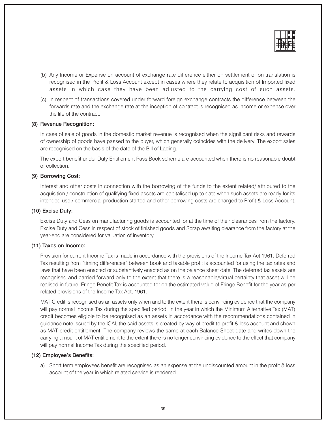

- (b) Any Income or Expense on account of exchange rate difference either on settlement or on translation is recognised in the Profit & Loss Account except in cases where they relate to acquisition of Imported fixed assets in which case they have been adjusted to the carrying cost of such assets.
- (c) In respect of transactions covered under forward foreign exchange contracts the difference between the forwards rate and the exchange rate at the inception of contract is recognised as income or expense over the life of the contract.

#### (8) Revenue Recognition:

In case of sale of goods in the domestic market revenue is recognised when the significant risks and rewards of ownership of goods have passed to the buyer, which generally coincides with the delivery. The export sales are recognised on the basis of the date of the Bill of Lading.

The export benefit under Duty Entitlement Pass Book scheme are accounted when there is no reasonable doubt of collection.

#### (9) Borrowing Cost:

Interest and other costs in connection with the borrowing of the funds to the extent related/ attributed to the acquisition / construction of qualifying fixed assets are capitalised up to date when such assets are ready for its intended use / commercial production started and other borrowing costs are charged to Profit & Loss Account.

#### (10) Excise Duty:

Excise Duty and Cess on manufacturing goods is accounted for at the time of their clearances from the factory. Excise Duty and Cess in respect of stock of finished goods and Scrap awaiting clearance from the factory at the year-end are considered for valuation of inventory.

#### (11) Taxes on Income:

Provision for current Income Tax is made in accordance with the provisions of the Income Tax Act 1961. Deferred Tax resulting from "timing differences" between book and taxable profit is accounted for using the tax rates and laws that have been enacted or substantively enacted as on the balance sheet date. The deferred tax assets are recognised and carried forward only to the extent that there is a reasonable/virtual certainty that asset will be realised in future. Fringe Benefit Tax is accounted for on the estimated value of Fringe Benefit for the year as per related provisions of the Income Tax Act, 1961.

MAT Credit is recognised as an assets only when and to the extent there is convincing evidence that the company will pay normal Income Tax during the specified period. In the year in which the Minimum Alternative Tax (MAT) credit becomes eligible to be recognised as an assets in accordance with the recommendations contained in quidance note issued by the ICAI, the said assets is created by way of credit to profit & loss account and shown as MAT credit entitlement. The company reviews the same at each Balance Sheet date and writes down the carrying amount of MAT entitlement to the extent there is no longer convincing evidence to the effect that company will pay normal Income Tax during the specified period.

#### (12) Employee's Benefits:

a) Short term employees benefit are recognised as an expense at the undiscounted amount in the profit & loss account of the year in which related service is rendered.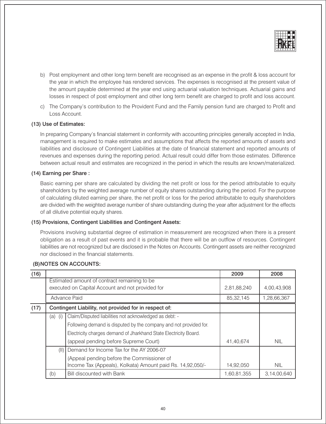

- b) Post employment and other long term benefit are recognised as an expense in the profit & loss account for the year in which the employee has rendered services. The expenses is recognised at the present value of the amount payable determined at the year end using actuarial valuation techniques. Actuarial gains and losses in respect of post employment and other long term benefit are charged to profit and loss account.
- c) The Company's contribution to the Provident Fund and the Family pension fund are charged to Profit and Loss Account.

#### (13) Use of Estimates:

In preparing Company's financial statement in conformity with accounting principles generally accepted in India, management is required to make estimates and assumptions that affects the reported amounts of assets and liabilities and disclosure of Contingent Liabilities at the date of financial statement and reported amounts of revenues and expenses during the reporting period. Actual result could differ from those estimates. Difference between actual result and estimates are recognized in the period in which the results are known/materialized.

#### (14) Earning per Share:

Basic earning per share are calculated by dividing the net profit or loss for the period attributable to equity shareholders by the weighted average number of equity shares outstanding during the period. For the purpose of calculating diluted earning per share, the net profit or loss for the period attributable to equity shareholders are divided with the weighted average number of share outstanding during the year after adjustment for the effects of all dilutive potential equity shares.

#### (15) Provisions, Contingent Liabilities and Contingent Assets:

Provisions involving substantial degree of estimation in measurement are recognized when there is a present obligation as a result of past events and it is probable that there will be an outflow of resources. Contingent liabilities are not recognized but are disclosed in the Notes on Accounts. Contingent assets are neither recognized nor disclosed in the financial statements.

#### (B) NOTES ON ACCOUNTS:

| (16) |                                       |                                                                                                  | 2009        | 2008        |
|------|---------------------------------------|--------------------------------------------------------------------------------------------------|-------------|-------------|
|      |                                       | Estimated amount of contract remaining to be<br>executed on Capital Account and not provided for | 2,81,88,240 | 4,00,43,908 |
|      |                                       | Advance Paid                                                                                     | 85,32,145   | 1,28,66,367 |
| (17) |                                       | Contingent Liability, not provided for in respect of:                                            |             |             |
|      | $(a)$ (i)                             | Claim/Disputed liabilities not acknowledged as debt: -                                           |             |             |
|      |                                       | Following demand is disputed by the company and not provided for.                                |             |             |
|      |                                       | Electricity charges demand of Jharkhand State Electricity Board.                                 |             |             |
|      | (appeal pending before Supreme Court) |                                                                                                  | 41,40,674   | <b>NIL</b>  |
|      | (11)                                  | Demand for Income Tax for the AY 2006-07                                                         |             |             |
|      |                                       | (Appeal pending before the Commissioner of                                                       |             |             |
|      |                                       | Income Tax (Appeals), Kolkata) Amount paid Rs. 14,92,050/-                                       | 14,92,050   | <b>NIL</b>  |
|      | (b)                                   | <b>Bill discounted with Bank</b>                                                                 | 1,60,81,355 | 3,14,00,640 |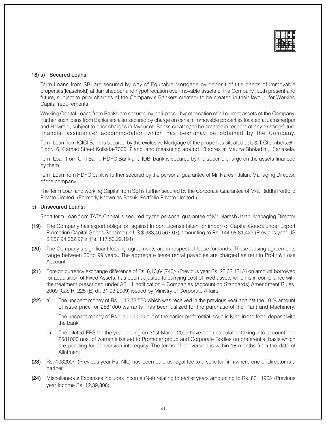

#### 18) a) Secured Loans:

Term Loans from SBI are secured by way of Equitable Mortgage by deposit of title deeds of immovable properties (leasehold) at Jamshedpur and hypothecation over movable assets of the Company, both present and future, subject to prior charges of the Company's Bankers created/ to be created in their favour for Working Capital requirements.

Working Capital Loans from Banks are secured by pari-passu hypothecation of all current assets of the Company. Further such loans from Banks are also secured by charge on certain immovable properties located at Jamshedpur and Howrah, subject to prior charges in favour of Banks created/ to be created in respect of any existing/future financial assistance/ accommodation which has been/may be obtained by the Company.

Term Loan from ICICI Bank is secured by the exclusive Mortgage of the properties situated at L & T Chambers, 6th Floor.16, Camac Street.Kolkata-700017 and land measuring around 18 acres at Mauza Bholadih, Sariakela.

Term Loan from CITI Bank, HDFC Bank and IDBI bank is secured by the specific charge on the assets financed by them.

Term Loan from HDFC bank is further secured by the personal quarantee of Mr. Naresh Jalan, Managing Director, of the company.

The Term Loan and working Capital from SBI is further secured by the Corporate Guarantee of M/s. Riddhi Portfolio Private Limited. (Formerly known as Basuki Portfolio Private Limited.)

#### b) Unsecured Loans:

Short term Loan from TATA Capital is secured by the personal guarantee of Mr. Naresh Jalan, Managing Director

- (19) The Company has export obligation against Import License taken for import of Capital Goods under Export Promotion Capital Goods Scheme (In US \$333,46,567.07) amounting to Rs. 144,98,81,425 (Previous year US \$267.94.062.97 in Rs. 117.50.29.194)
- (20) The Company's significant leasing agreements are in respect of lease for lands. These leasing agreements range between 30 to 99 years. The aggregate lease rental payables are charged as rent in Profit & Loss Account
- (21) Foreign currency exchange difference of Rs. 6,13,64,740/- (Previous year Rs. 23,32,121/-) on amount borrowed for acquisition of Fixed Assets, has been adjusted to carrying cost of fixed assets which is in compliance with the treatment prescribed under AS 11 notification - Companies (Accounting Standards) Amendment Rules, 2009 (G.S.R. 225 (E) dt. 31.03.2009) issued by Ministry of Corporate Affairs.
- The unspent money of Rs. 1,13,73,550 which was received in the previous year against the 10 % amount  $(22)$  a) of issue price for 2581000 warrants has been utilized for the purchase of the Plant and Machinery.

The unspent money of Rs.1.10.00.000 out of the earlier preferential issue is Iving in the fixed deposit with the bank.

- The diluted EPS for the year ending on 31st March 2009 have been calculated taking into account, the b) 2581000 nos. of warrants issued to Promoter group and Corporate Bodies on preferential basis which are pending for conversion into equity. The terms of conversion is within 18 months from the date of Allotment
- (23) Rs. 103200/- (Previous year Rs. NIL) has been paid as legal fee to a solicitor firm where one of Director is a partner.
- (24) Miscellaneous Expenses includes Income (Net) relating to earlier years amounting to Rs. 831,196/- (Previous vear Income Rs. 12.39.808)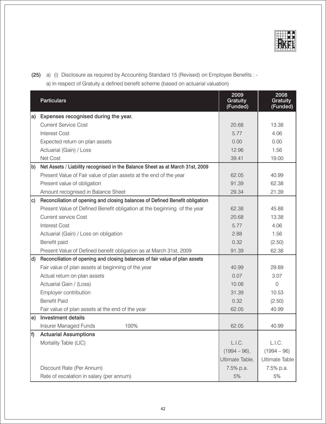

(25) a) (i) Disclosure as required by Accounting Standard 15 (Revised) on Employee Benefits : -

a) In respect of Gratuity a defined benefit scheme (based on actuarial valuation)

|    | <b>Particulars</b>                                                              | 2009<br>Gratuity<br>(Funded) | 2008<br><b>Gratuity</b><br>(Funded) |
|----|---------------------------------------------------------------------------------|------------------------------|-------------------------------------|
| a) | Expenses recognised during the year.                                            |                              |                                     |
|    | <b>Current Service Cost</b>                                                     | 20.68                        | 13.38                               |
|    | <b>Interest Cost</b>                                                            | 5.77                         | 4.06                                |
|    | Expected return on plan assets                                                  | 0.00                         | 0.00                                |
|    | Actuarial (Gain) / Loss                                                         | 12.96                        | 1.56                                |
|    | Net Cost                                                                        | 39.41                        | 19.00                               |
| b) | Net Assets / Liability recognised in the Balance Sheet as at March 31st, 2009   |                              |                                     |
|    | Present Value of Fair value of plan assets at the end of the year               | 62.05                        | 40.99                               |
|    | Present value of obligation                                                     | 91.39                        | 62.38                               |
|    | Amount recognised in Balance Sheet                                              | 29.34                        | 21.39                               |
|    | c) Reconciliation of opening and closing balances of Defined Benefit obligation |                              |                                     |
|    | Present Value of Defined Benefit obligation at the beginning of the year        | 62.38                        | 45.88                               |
|    | <b>Current service Cost</b>                                                     | 20.68                        | 13.38                               |
|    | <b>Interest Cost</b>                                                            | 5.77                         | 4.06                                |
|    | Actuarial (Gain) / Loss on obligation                                           | 2.88                         | 1.56                                |
|    | Benefit paid                                                                    | 0.32                         | (2.50)                              |
|    | Present Value of Defined benefit obligation as at March 31st, 2009              | 91.39                        | 62.38                               |
| d) | Reconciliation of opening and closing balances of fair value of plan assets     |                              |                                     |
|    | Fair value of plan assets at beginning of the year                              | 40.99                        | 29.89                               |
|    | Actual return on plan assets                                                    | 0.07                         | 3.07                                |
|    | Actuarial Gain / (Loss)                                                         | 10.08                        | $\overline{0}$                      |
|    | Employer contribution                                                           | 31.39                        | 10.53                               |
|    | <b>Benefit Paid</b>                                                             | 0.32                         | (2.50)                              |
|    | Fair value of plan assets at the end of the year                                | 62.05                        | 40.99                               |
|    | e) Investment details                                                           |                              |                                     |
|    | <b>Insurer Managed Funds</b><br>100%                                            | 62.05                        | 40.99                               |
| f) | <b>Actuarial Assumptions</b>                                                    |                              |                                     |
|    | Mortality Table (LIC)                                                           | L.I.C.                       | L.I.C.                              |
|    |                                                                                 | $(1994 - 96),$               | $(1994 - 96)$                       |
|    |                                                                                 | Ultimate Table,              | <b>Ultimate Table</b>               |
|    | Discount Rate (Per Annum)                                                       | 7.5% p.a.                    | 7.5% p.a.                           |
|    | Rate of escalation in salary (per annum)                                        | 5%                           | 5%                                  |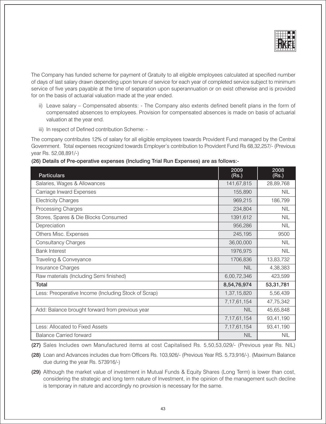

The Company has funded scheme for payment of Gratuity to all eligible employees calculated at specified number of days of last salary drawn depending upon tenure of service for each year of completed service subject to minimum service of five years payable at the time of separation upon superannuation or on exist otherwise and is provided for on the basis of actuarial valuation made at the year ended.

- ii) Leave salary Compensated absents: The Company also extents defined benefit plans in the form of compensated absences to employees. Provision for compensated absences is made on basis of actuarial valuation at the year end.
- iii) In respect of Defined contribution Scheme: -

The company contributes 12% of salary for all eligible employees towards Provident Fund managed by the Central Government. Total expenses recognized towards Employer's contribution to Provident Fund Rs 68,32,257/- (Previous year Rs. 52,08,891/-)

(26) Details of Pre-operative expenses (Including Trial Run Expenses) are as follows:-

| <b>Particulars</b>                                   | 2009<br>(Rs.)  | 2008<br>(Rs.) |
|------------------------------------------------------|----------------|---------------|
| Salaries, Wages & Allowances                         | 141,67,815     | 28,89,768     |
| Carriage Inward Expenses                             | 155,890        | <b>NIL</b>    |
| <b>Electricity Charges</b>                           | 969,215        | 186,799       |
| <b>Processing Charges</b>                            | 234,804        | <b>NIL</b>    |
| Stores, Spares & Die Blocks Consumed                 | 1391,612       | <b>NIL</b>    |
| Depreciation                                         | 956,286        | <b>NIL</b>    |
| Others Misc. Expenses                                | 245,195        | 9500          |
| <b>Consultancy Charges</b>                           | 36,00,000      | <b>NIL</b>    |
| <b>Bank Interest</b>                                 | 1976,975       | <b>NIL</b>    |
| Traveling & Conveyance                               | 1706,836       | 13,83,732     |
| Insurance Charges                                    | <b>NIL</b>     | 4,38,383      |
| Raw materials (Including Semi finished)              | 6,00,72,346    | 423,599       |
| Total                                                | 8,54,76,974    | 53,31,781     |
| Less: Preoperative Income (Including Stock of Scrap) | 1,37,15,820    | 5,56,439      |
|                                                      | 7, 17, 61, 154 | 47,75,342     |
| Add: Balance brought forward from previous year      | <b>NIL</b>     | 45,65,848     |
|                                                      | 7, 17, 61, 154 | 93,41,190     |
| Less: Allocated to Fixed Assets                      | 7, 17, 61, 154 | 93,41,190     |
| <b>Balance Carried forward</b>                       | <b>NIL</b>     | <b>NIL</b>    |

(27) Sales Includes own Manufactured items at cost Capitalised Rs. 5,50,53,029/- (Previous year Rs. NIL)

(28) Loan and Advances includes due from Officers Rs. 103,926/- (Previous Year RS. 5,73,916/-). (Maximum Balance due during the year Rs. 573916/-)

(29) Although the market value of investment in Mutual Funds & Equity Shares (Long Term) is lower than cost, considering the strategic and long term nature of Investment, in the opinion of the management such decline is temporary in nature and accordingly no provision is necessary for the same.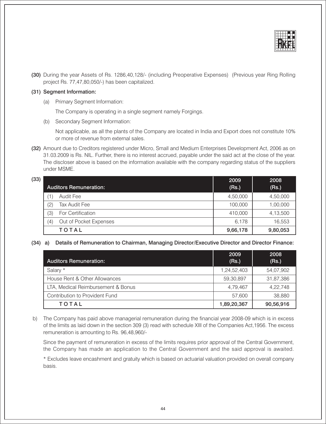

(30) During the vear Assets of Rs. 1286.40.128/- (including Preoperative Expenses) (Previous vear Ring Rolling project Rs. 77,47,80,050/-) has been capitalized.

#### (31) Segment Information:

(a) Primary Segment Information:

The Company is operating in a single segment namely Forgings.

(b) Secondary Segment Information:

Not applicable, as all the plants of the Company are located in India and Export does not constitute 10% or more of revenue from external sales.

(32) Amount due to Creditors registered under Micro, Small and Medium Enterprises Development Act, 2006 as on 31.03.2009 is Rs. NIL. Further, there is no interest accrued, payable under the said act at the close of the year. The discloser above is based on the information available with the company regarding status of the suppliers under MSME.

| (33) |                   |                               | 2009     | 2008     |
|------|-------------------|-------------------------------|----------|----------|
|      |                   | <b>Auditors Remuneration:</b> | (Rs.)    | (Rs.)    |
|      |                   | Audit Fee                     | 4,50,000 | 4,50,000 |
|      | $\left( 2\right)$ | <b>Tax Audit Fee</b>          | 100,000  | 1,00,000 |
|      | (3)               | For Certification             | 410,000  | 4,13,500 |
|      | $\left( 4\right)$ | Out of Pocket Expenses        | 6.178    | 16,553   |
|      |                   | TOTAL                         | 9,66,178 | 9,80,053 |

#### (34) a) Details of Remuneration to Chairman, Managing Director/Executive Director and Director Finance:

| <b>Auditors Remuneration:</b>      | 2009<br>(Rs.) | 2008<br>(Rs.) |
|------------------------------------|---------------|---------------|
| Salary *                           | 1,24,52,403   | 54,07,902     |
| House Rent & Other Allowances      | 59,30,897     | 31,87,386     |
| LTA, Medical Reimbursement & Bonus | 4,79,467      | 4,22,748      |
| Contribution to Provident Fund     | 57.600        | 38,880        |
| TOTAL                              | 1,89,20,367   | 90,56,916     |

b) The Company has paid above managerial remuneration during the financial year 2008-09 which is in excess of the limits as laid down in the section 309 (3) read with schedule XIII of the Companies Act, 1956. The excess remuneration is amounting to Rs. 96,48,960/-

Since the payment of remuneration in excess of the limits requires prior approval of the Central Government, the Company has made an application to the Central Government and the said approval is awaited.

\* Excludes leave encashment and gratuity which is based on actuarial valuation provided on overall company basis.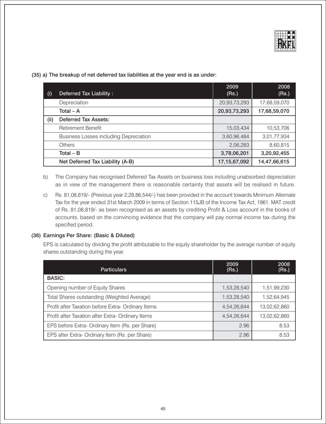

(35) a) The breakup of net deferred tax liabilities at the year end is as under:

| (i)  | Deferred Tax Liability:                       | 2009<br>(Rs.)   | 2008<br>(Rs.) |
|------|-----------------------------------------------|-----------------|---------------|
|      | Depreciation                                  | 20,93,73,293    | 17,68,59,070  |
|      | Total $-$ A                                   | 20,93,73,293    | 17,68,59,070  |
| (ii) | <b>Deferred Tax Assets:</b>                   |                 |               |
|      | <b>Retirement Benefit</b>                     | 15,03,434       | 10,53,706     |
|      | <b>Business Losses including Depreciation</b> | 3,60,96,484     | 3,01,77,934   |
|      | Others                                        | 2,06,283        | 8,60,815      |
|      | Total $-$ B                                   | 3,78,06,201     | 3,20,92,455   |
|      | Net Deferred Tax Liability (A-B)              | 17, 15, 67, 092 | 14,47,66,615  |

- The Company has recognised Deferred Tax Assets on business loss including unabsorbed depreciation b) as in view of the management there is reasonable certainty that assets will be realised in future.
- Rs. 81,08,819/- (Previous year 2,28,86,544/-) has been provided in the account towards Minimum Alternate  $C)$ Tax for the year ended 31st March 2009 in terms of Section 115JB of the Income Tax Act, 1961. MAT credit of Rs. 81,08,819/- as been recognised as an assets by crediting Profit & Loss account in the books of accounts, based on the convincing evidence that the company will pay normal income tax during the specified period.

#### (36) Earnings Per Share: (Basic & Diluted)

EPS is calculated by dividing the profit attributable to the equity shareholder by the average number of equity shares outstanding during the year.

| <b>Particulars</b>                                 | 2009<br>(Rs.) | 2008<br>(Rs.) |
|----------------------------------------------------|---------------|---------------|
| <b>BASIC:</b>                                      |               |               |
| Opening number of Equity Shares                    | 1,53,28,540   | 1,51,99,230   |
| Total Shares outstanding (Weighted Average)        | 1,53,28,540   | 1,52,64,945   |
| Profit after Taxation before Extra- Ordinary Items | 4,54,26,644   | 13,02,62,860  |
| Profit after Taxation after Extra- Ordinary Items  | 4,54,26,644   | 13,02,62,860  |
| EPS before Extra-Ordinary Item (Rs. per Share)     | 2.96          | 8.53          |
| EPS after Extra-Ordinary Item (Rs. per Share)      | 2.96          | 8.53          |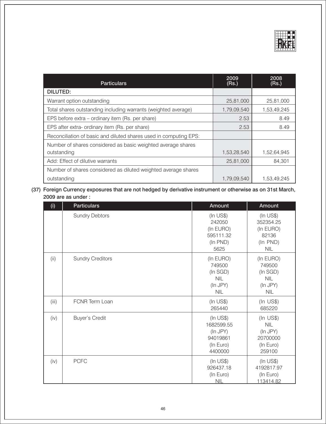

| <b>Particulars</b>                                                | 2009<br>(Rs.) | 2008<br>(Rs.) |
|-------------------------------------------------------------------|---------------|---------------|
| <b>DILUTED:</b>                                                   |               |               |
| Warrant option outstanding                                        | 25,81,000     | 25,81,000     |
| Total shares outstanding including warrants (weighted average)    | 1,79,09,540   | 1,53,49,245   |
| EPS before extra – ordinary item (Rs. per share)                  | 2.53          | 8.49          |
| EPS after extra- ordinary item (Rs. per share)                    | 2.53          | 8.49          |
| Reconciliation of basic and diluted shares used in computing EPS: |               |               |
| Number of shares considered as basic weighted average shares      |               |               |
| outstanding                                                       | 1,53,28,540   | 1,52,64,945   |
| Add: Effect of dilutive warrants                                  | 25,81,000     | 84,301        |
| Number of shares considered as diluted weighted average shares    |               |               |
| outstanding                                                       | 1,79,09,540   | 1,53,49,245   |

### (37) Foreign Currency exposures that are not hedged by derivative instrument or otherwise as on 31st March, are as under:

| (i)   | <b>Particulars</b>      | Amount                                                                        | Amount                                                                          |
|-------|-------------------------|-------------------------------------------------------------------------------|---------------------------------------------------------------------------------|
|       | <b>Sundry Debtors</b>   | (In <b>US\$)</b><br>242050<br>(In EURO)<br>595111.32<br>(In PND)<br>5625      | $(ln \text{ US$})$<br>352354.25<br>(In EURO)<br>82136<br>(In PND)<br><b>NIL</b> |
| (i)   | <b>Sundry Creditors</b> | (In EURO)<br>749500<br>(In SGD)<br><b>NIL</b><br>(In JPY)<br><b>NIL</b>       | (In EURO)<br>749500<br>(In SGD)<br><b>NIL</b><br>(In JPY)<br><b>NIL</b>         |
| (iii) | FCNR Term Loan          | $($ In US\$ $)$<br>265440                                                     | $(ln$ US\$)<br>685220                                                           |
| (iv)  | <b>Buyer's Credit</b>   | $($ In US\$ $)$<br>1682599.55<br>(In JPY)<br>94019861<br>(In Euro)<br>4400000 | $(ln$ US\$)<br><b>NIL</b><br>(In JPY)<br>20700000<br>(In Euro)<br>259100        |
| (iv)  | <b>PCFC</b>             | $(ln \text{US$})$<br>926437.18<br>(In Euro)<br><b>NIL</b>                     | $(ln \text{ US$})$<br>4192817.97<br>(In Euro)<br>113414.82                      |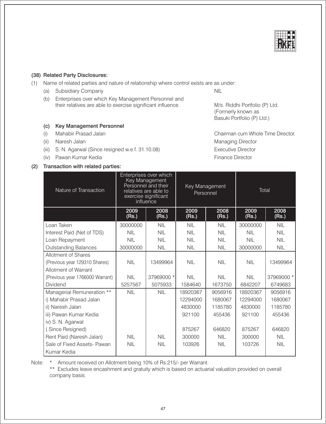#### (38) Related Party Disclosures:

(1) Name of related parties and nature of relationship where control exists are as under:

Enterprises over which Key Management

- (a) Subsidiary Company
- (b) Enterprises over which Key Management Personnel and their relatives are able to exercise significant influence.

#### (c) Key Management Personnel

- Mahabir Prasad Jalan  $(i)$
- (ii) Naresh Jalan
- (iii) S. N. Agarwal (Since resigned w.e.f. 31.10.08)
- (iv) Pawan Kumar Kedia

#### (2) Transaction with related parties:

M/s. Riddhi Portfolio (P) Ltd. (Formerly known as Basuki Portfolio (P) Ltd.)

Chairman cum Whole Time Director. **Managing Director Executive Director** Finance Director

|       | Sale of Fixed Assets- Pawan<br>  Kumar Kedia                                                                                                                                             | <b>NIL</b> | <b>NIL</b> | 103926 | <b>NIL</b> | 103726 | N <sub>l</sub> |
|-------|------------------------------------------------------------------------------------------------------------------------------------------------------------------------------------------|------------|------------|--------|------------|--------|----------------|
| Note: | Amount received on Allotment being 10% of Rs.215/- per Warrant.<br>** Excludes leave encashment and gratuity which is based on actuarial valuation provided on overall<br>company basis. |            |            |        |            |        |                |

47

| Nature of Transaction           |               | LAI20111 IAI 9110 11141<br>relatives are able to<br>exercise significant<br>influence | Key Management<br>Personnel |               | Total         |               |
|---------------------------------|---------------|---------------------------------------------------------------------------------------|-----------------------------|---------------|---------------|---------------|
|                                 | 2009<br>(Rs.) | 2008<br>(Rs.)                                                                         | 2009<br>(Rs.)               | 2008<br>(Rs.) | 2009<br>(Rs.) | 2008<br>(Rs.) |
| Loan Taken                      | 30000000      | <b>NIL</b>                                                                            | <b>NIL</b>                  | <b>NIL</b>    | 30000000      | <b>NIL</b>    |
| Interest Paid (Net of TDS)      | <b>NIL</b>    | <b>NIL</b>                                                                            | <b>NIL</b>                  | <b>NIL</b>    | <b>NIL</b>    | <b>NIL</b>    |
| Loan Repayment                  | <b>NIL</b>    | <b>NIL</b>                                                                            | <b>NIL</b>                  | <b>NIL</b>    | <b>NIL</b>    | <b>NIL</b>    |
| <b>Outstanding Balances</b>     | 30000000      | NIL                                                                                   | <b>NIL</b>                  | <b>NIL</b>    | 30000000      | NIL           |
| Allotment of Shares             |               |                                                                                       |                             |               |               |               |
| (Previous year 129310 Shares)   | <b>NIL</b>    | 13499964                                                                              | <b>NIL</b>                  | <b>NIL</b>    | <b>NIL</b>    | 13499964      |
| Allotment of Warrant            |               |                                                                                       |                             |               |               |               |
| (Previous year 1766000 Warrant) | <b>NIL</b>    | 37969000 *                                                                            | <b>NIL</b>                  | <b>NIL</b>    | <b>NIL</b>    | 37969000 *    |
| <b>Dividend</b>                 | 5257567       | 5075933                                                                               | 1584640                     | 1673750       | 6842207       | 6749683       |
| Managerial Remuneration **      | <b>NIL</b>    | <b>NIL</b>                                                                            | 18920367                    | 9056916       | 18920367      | 9056916       |
| i) Mahabir Prasad Jalan         |               |                                                                                       | 12294000                    | 1680067       | 12294000      | 1680067       |
| ii) Naresh Jalan                |               |                                                                                       | 4830000                     | 1185780       | 4830000       | 1185780       |
| iii) Pawan Kumar Kedia          |               |                                                                                       | 921100                      | 455436        | 921100        | 455436        |
| iv) S. N. Agarwal               |               |                                                                                       |                             |               |               |               |
| (Since Resigned)                |               |                                                                                       | 875267                      | 646820        | 875267        | 646820        |
| Rent Paid (Naresh Jalan)        | <b>NIL</b>    | <b>NIL</b>                                                                            | 300000                      | <b>NIL</b>    | 300000        | <b>NIL</b>    |
| Sale of Fixed Assets- Pawan     | <b>NIL</b>    | <b>NIL</b>                                                                            | 103926                      | <b>NIL</b>    | 103726        | <b>NIL</b>    |
| Kumar Kedia                     |               |                                                                                       |                             |               |               |               |



**NIL**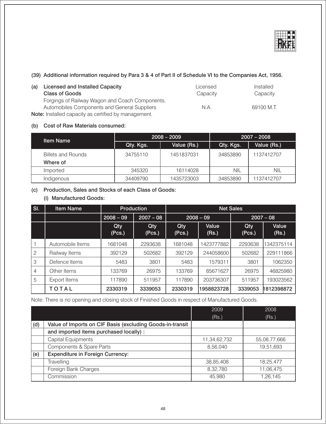

### (39) Additional information required by Para 3 & 4 of Part II of Schedule VI to the Companies Act, 1956.

| <b>Licensed and Installed Capacity</b><br>(a)               | Licensed | Installed  |
|-------------------------------------------------------------|----------|------------|
| <b>Class of Goods</b>                                       | Capacity | Capacity   |
| Forgings of Railway Wagon and Coach Components,             |          |            |
| Automobiles Components and General Suppliers                | N.A.     | 69100 M.T. |
| <b>Note:</b> Installed capacity as certified by management. |          |            |

#### (b) Cost of Raw Materials consumed:

| <b>Item Name</b>          |           | $2008 - 2009$ | $2007 - 2008$ |             |  |
|---------------------------|-----------|---------------|---------------|-------------|--|
|                           | Qty. Kgs. | Value (Rs.)   | Qty. Kgs.     | Value (Rs.) |  |
| <b>Billets and Rounds</b> | 34755110  | 1451837031    | 34853890      | 1137412707  |  |
| Where of                  |           |               |               |             |  |
| Imported                  | 345320    | 16114028      | NIL           | NIL         |  |
| Indigenous                | 34409790  | 1435723003    | 34853890      | 1137412707  |  |

#### (c) Production, Sales and Stocks of each Class of Goods:

### (i) Manufactured Goods:

| $\vert$ SI. | <b>Item Name</b> | Production           |                      | <b>Net Sales</b> |                |               |                |
|-------------|------------------|----------------------|----------------------|------------------|----------------|---------------|----------------|
|             |                  | $2008 - 09$          | $2007 - 08$          | $2008 - 09$      |                | $2007 - 08$   |                |
|             |                  | <b>Qty</b><br>(Pcs.) | <b>Qty</b><br>(Pcs.) | Qty<br>(Pcs.)    | Value<br>(Rs.) | Qty<br>(Pcs.) | Value<br>(Rs.) |
|             | Automobile Items | 1681048              | 2293638              | 1681048          | 1423777882     | 2293638       | 1342375114     |
| 2           | Railway Items    | 392129               | 502682               | 392129           | 244058600      | 502682        | 229111866      |
| 3           | Defence Items    | 5483                 | 3801                 | 5483             | 1579311        | 3801          | 1062350        |
| 4           | Other Items      | 133769               | 26975                | 133769           | 85671627       | 26975         | 46825980       |
| 5           | Export Items     | 117890               | 511957               | 117890           | 203736307      | 511957        | 193023562      |
|             | TOTAL            | 2330319              | 3339053              | 2330319          | 1958823728     | 3339053       | 1812398872     |

#### Note: There is no opening and closing stock of Finished Goods in respect of Manufactured Goods.

|     |                                                           | 2009         | 2008         |
|-----|-----------------------------------------------------------|--------------|--------------|
|     |                                                           | (Rs.)        | (Rs.)        |
| (d) | Value of Imports on CIF Basis (excluding Goods-in-transit |              |              |
|     | and imported items purchased locally) :                   |              |              |
|     | Capital Equipments                                        | 11,34,62,732 | 55,08,77,666 |
|     | Components & Spare Parts                                  | 8,56,040     | 19,51,693    |
| (e) | <b>Expenditure in Foreign Currency:</b>                   |              |              |
|     | Travelling                                                | 38,85,408    | 18,25,477    |
|     | Foreign Bank Charges                                      | 8,32,780     | 11,06,475    |
|     | Commission                                                | 45,980       | 1,26,145     |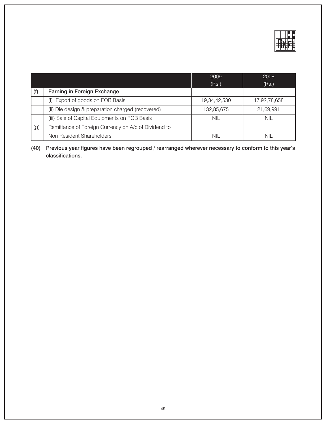

|     |                                                      | 2009<br>(Rs.) | 2008<br>(Rs.) |
|-----|------------------------------------------------------|---------------|---------------|
| (f) | Earning in Foreign Exchange                          |               |               |
|     | (i) Export of goods on FOB Basis                     | 19,34,42,530  | 17,92,78,658  |
|     | (ii) Die design & preparation charged (recovered)    | 132,85,675    | 21,69,991     |
|     | (iii) Sale of Capital Equipments on FOB Basis        | NIL           | NIL           |
| (g) | Remittance of Foreign Currency on A/c of Dividend to |               |               |
|     | Non Resident Shareholders                            | NIL           | NII           |

(40) Previous year figures have been regrouped / rearranged wherever necessary to conform to this year's classifications.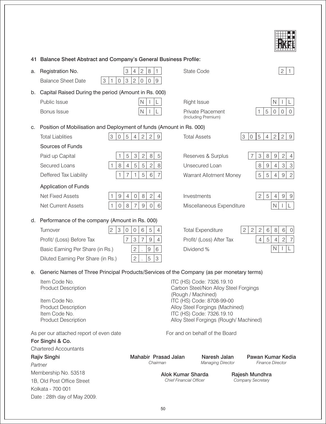

## 41 Balance Sheet Abstract and Company's General Business Profile:

| a. | $\ensuremath{\mathsf{3}}$<br>Registration No.                                             | $\mathbf{2}$<br>8<br>1<br>4                                         | <b>State Code</b>                                                  | $\sqrt{2}$                                                                               |  |  |
|----|-------------------------------------------------------------------------------------------|---------------------------------------------------------------------|--------------------------------------------------------------------|------------------------------------------------------------------------------------------|--|--|
|    | $\mathfrak 3$<br><b>Balance Sheet Date</b><br>3<br>$\mathsf{O}\xspace$<br>1               | $\boldsymbol{9}$<br>$\mathbf{2}$<br>0<br>0                          |                                                                    |                                                                                          |  |  |
| b. | Capital Raised During the period (Amount in Rs. 000)                                      |                                                                     |                                                                    |                                                                                          |  |  |
|    | Public Issue                                                                              | N                                                                   | Right Issue                                                        | N                                                                                        |  |  |
|    | Bonus Issue                                                                               | N                                                                   | Private Placement<br>(Including Premium)                           | 5<br>$\mathbf 0$<br>$\mathbf 0$<br>$\mathbf 0$                                           |  |  |
| С. | Position of Mobilisation and Deployment of funds (Amount in Rs. 000)                      |                                                                     |                                                                    |                                                                                          |  |  |
|    | 3<br>$\mathbf 0$<br>$\overline{5}$<br><b>Total Liablities</b>                             | $\mathbf{2}$<br>$\overline{2}$<br>$\overline{4}$<br>$9\,$           | <b>Total Assets</b>                                                | $\mathbf{2}$<br>3<br>$\mathsf{O}$<br>$\mathbf 5$<br>$\overline{4}$<br>$\mathbf{2}$<br>9  |  |  |
|    | Sources of Funds                                                                          |                                                                     |                                                                    |                                                                                          |  |  |
|    | 5<br>Paid up Capital<br>1                                                                 | $\,8\,$<br>$\ensuremath{\mathsf{3}}$<br>$\mathbf{2}$<br>$\mathbf 5$ | Reserves & Surplus                                                 | $\ensuremath{\mathsf{3}}$<br>$\,8\,$<br>$\boldsymbol{9}$<br>$\overline{c}$<br>7<br>4     |  |  |
|    | $\,8\,$<br>Secured Loans<br>$\overline{4}$<br>1                                           | $\overline{2}$<br>$\,8\,$<br>5<br>5                                 | Unsecured Loan                                                     | $\ensuremath{\mathsf{3}}$<br>$\mbox{3}$<br>$\,8\,$<br>$\hbox{9}$<br>$\overline{4}$       |  |  |
|    | Deffered Tax Liability<br>$\mathbf{1}$<br>7                                               | 5<br>6<br>$\overline{7}$<br>1                                       | Warrant Allotment Money                                            | 5<br>5<br>$\mathbf{2}$<br>$\hbox{9}$<br>$\overline{4}$                                   |  |  |
|    | <b>Application of Funds</b>                                                               |                                                                     |                                                                    |                                                                                          |  |  |
|    | <b>Net Fixed Assets</b><br>$\boldsymbol{9}$<br>4<br>1                                     | $\mathbf{2}$<br>$\,8\,$<br>4<br>0                                   | Investments                                                        | 5<br>2 <sup>1</sup><br>$\boldsymbol{9}$<br>9<br>4                                        |  |  |
|    | Net Current Assets<br>$\mathbf 0$<br>8<br>1                                               | $\sigma$<br>$\hbox{9}$<br>$6\phantom{1}6$<br>$\overline{7}$         | Miscellaneous Expenditure                                          | $\mathsf{N}$                                                                             |  |  |
| d. | Performance of the company (Amount in Rs. 000)                                            |                                                                     |                                                                    |                                                                                          |  |  |
|    | 3<br>$\overline{c}$<br>$\mathbf 0$<br>Turnover                                            | 5<br>$\mathbf 0$<br>6<br>$\overline{4}$                             | <b>Total Expenditure</b>                                           | $\overline{c}$<br>$\overline{c}$<br>$\mathbf{2}$<br>6<br>$\,8\,$<br>$6\,$<br>$\mathbf 0$ |  |  |
|    | 7<br>Profit/ (Loss) Before Tax                                                            | 3<br>9<br>7<br>$\overline{4}$                                       | Profit/ (Loss) After Tax                                           | $\mathbf{2}$<br>$\mathbf 5$<br>$\overline{7}$<br>$\overline{4}$<br>$\overline{4}$        |  |  |
|    | Basic Earning Per Share (in Rs.)                                                          | $\mathbf{2}$<br>$\hbox{9}$<br>6                                     | Dividend %                                                         | $\mathsf{N}$                                                                             |  |  |
|    | Diluted Earning Per Share (in Rs.)                                                        | $\overline{c}$<br>5<br>3                                            |                                                                    |                                                                                          |  |  |
| е. | Generic Names of Three Principal Products/Services of the Company (as per monetary terms) |                                                                     |                                                                    |                                                                                          |  |  |
|    | Item Code No.<br><b>Product Description</b>                                               |                                                                     | ITC (HS) Code: 7326.19.10<br>Carbon Steel/Non Alloy Steel Forgings |                                                                                          |  |  |
|    |                                                                                           |                                                                     | (Rough / Machined)                                                 |                                                                                          |  |  |
|    | Item Code No.<br><b>Product Description</b>                                               |                                                                     | ITC (HS) Code: 8708-99-00<br>Alloy Steel Forgings (Machined)       |                                                                                          |  |  |
|    | Item Code No.                                                                             |                                                                     | ITC (HS) Code: 7326.19.10                                          |                                                                                          |  |  |
|    | <b>Product Description</b>                                                                |                                                                     | Alloy Steel Forgings (Rough/ Machined)                             |                                                                                          |  |  |
|    | As per our attached report of even date                                                   |                                                                     | For and on behalf of the Board                                     |                                                                                          |  |  |
|    | For Singhi & Co.                                                                          |                                                                     |                                                                    |                                                                                          |  |  |
|    | <b>Chartered Accountants</b>                                                              |                                                                     |                                                                    |                                                                                          |  |  |
|    | Rajiv Singhi<br>Partner                                                                   | Mahabir Prasad Jalan<br>Chairman                                    | Naresh Jalan<br><b>Managing Director</b>                           | Pawan Kumar Kedia<br><b>Finance Director</b>                                             |  |  |
|    | Membership No. 53518                                                                      |                                                                     |                                                                    |                                                                                          |  |  |
|    | 1B, Old Post Office Street                                                                |                                                                     | Alok Kumar Sharda<br><b>Chief Financial Officer</b>                | Rajesh Mundhra<br>Company Secretary                                                      |  |  |
|    | Kolkata - 700 001                                                                         |                                                                     |                                                                    |                                                                                          |  |  |
|    | Date: 28th day of May 2009.                                                               |                                                                     |                                                                    |                                                                                          |  |  |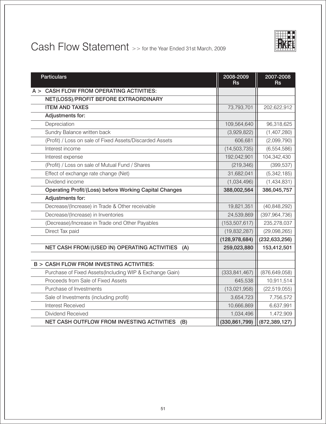

## Cash Flow Statement >> for the Year Ended 31st March, 2009

| <b>Particulars</b>                                       | 2008-2009<br>Rs | 2007-2008<br><b>Rs</b> |
|----------------------------------------------------------|-----------------|------------------------|
| $A >$ CASH FLOW FROM OPERATING ACTIVITIES:               |                 |                        |
| NET(LOSS)/PROFIT BEFORE EXTRAORDINARY                    |                 |                        |
| <b>ITEM AND TAXES</b>                                    | 73,793,701      | 202,622,912            |
| Adjustments for:                                         |                 |                        |
| Depreciation                                             | 109,564,640     | 96,318,625             |
| Sundry Balance written back                              | (3,929,822)     | (1,407,280)            |
| (Profit) / Loss on sale of Fixed Assets/Discarded Assets | 606,681         | (2,099,790)            |
| Interest income                                          | (14, 503, 735)  | (6,554,586)            |
| Interest expense                                         | 192,042,901     | 104,342,430            |
| (Profit) / Loss on sale of Mutual Fund / Shares          | (219, 346)      | (399, 537)             |
| Effect of exchange rate change (Net)                     | 31,682,041      | (5,342,185)            |
| Dividend income                                          | (1,034,496)     | (1,434,831)            |
| Operating Profit/(Loss) before Working Capital Changes   | 388,002,564     | 386,045,757            |
| Adjustments for:                                         |                 |                        |
| Decrease/(Increase) in Trade & Other receivable          | 19,821,351      | (40, 848, 292)         |
| Decrease/(Increase) in Inventories                       | 24,539,869      | (397, 964, 736)        |
| (Decrease)/Increase in Trade ond Other Payables          | (153, 507, 617) | 235,278,037            |
| Direct Tax paid                                          | (19, 832, 287)  | (29,098,265)           |
|                                                          | (128, 978, 684) | (232, 633, 256)        |
| NET CASH FROM/(USED IN) OPERATING ACTIVITIES<br>(A)      | 259,023,880     | 153,412,501            |
|                                                          |                 |                        |
| <b>B &gt; CASH FLOW FROM INVESTING ACTIVITIES:</b>       |                 |                        |
| Purchase of Fixed Assets(Including WIP & Exchange Gain)  | (333, 841, 467) | (876, 649, 058)        |
| Proceeds from Sale of Fixed Assets                       | 645,538         | 10,911,514             |
| Purchase of Investments                                  | (13,021,958)    | (22, 519, 055)         |
| Sale of Investments (including profit)                   | 3,654,723       | 7,756,572              |
| <b>Interest Received</b>                                 | 10,666,869      | 6,637,991              |
| Dividend Received                                        | 1,034,496       | 1,472,909              |
| NET CASH OUTFLOW FROM INVESTING ACTIVITIES<br>(B)        | (330, 861, 799) | (872, 389, 127)        |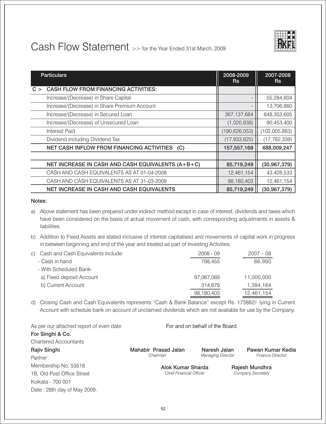

## Cash Flow Statement >> for the Year Ended 31st March, 2009

| <b>Particulars</b>                                 | 2008-2009<br><b>Rs</b> | 2007-2008<br>Rs |
|----------------------------------------------------|------------------------|-----------------|
| <b>CASH FLOW FROM FINANCING ACTIVITIES:</b><br>C > |                        |                 |
| Increase/(Decrease) in Share Capital               |                        | 55,284,604      |
| Increase/(Decrease) in Share Premium Account       |                        | 13,706,860      |
| Increase/(Decrease) in Secured Loan                | 367, 137, 684          | 648,352,605     |
| Increase/(Decrease) of Unsecured Loan              | (1,020,838)            | 90,453,400      |
| Interest Paid                                      | (190, 626, 053)        | (102,005,883)   |
| Dividend including Dividend Tax                    | (17, 933, 625)         | (17, 782, 339)  |
| NET CASH INFLOW FROM FINANCING ACTIVITIES<br>(C)   | 157,557,168            | 688,009,247     |
|                                                    |                        |                 |
| NET INCREASE IN CASH AND CASH EQUIVALENTS (A+B+C)  | 85,719,249             | (30, 967, 379)  |
| CASH AND CASH EQUIVALENTS AS AT 01-04-2008         | 12,461,154             | 43,428,533      |
| CASH AND CASH EQUIVALENTS AS AT 31-03-2009         | 98,180,403             | 12,461,154      |
| <b>NET INCREASE IN CASH AND CASH EQUIVALENTS</b>   | 85,719,249             | (30, 967, 379)  |

#### Notes:

- a) Above statement has been prepared under indirect method except in case of interest, dividends and taxes which have been considered on the basis of actual movement of cash, with corresponding adjustments in assets & liabilities.
- b) Addition to Fixed Assets are stated inclusive of interest capitalised and movements of capital work in progress in between beginning and end of the year and treated as part of Investing Activities.

| c) Cash and Cash Equivalents Include: | $2008 - 09$ | 2007 - 08  |
|---------------------------------------|-------------|------------|
| - Cash in hand                        | 798.455     | 66,990     |
| - With Scheduled Bank-                |             |            |
| a) Fixed deposit Account              | 97,067,069  | 11,000,000 |
| b) Current Account                    | 314.879     | 1,394,164  |
|                                       | 98,180,403  | 12,461,154 |

d) Closing Cash and Cash Equivalents represents "Cash & Bank Balance" except Rs. 173882/- lying in Current Account with schedule bank on account of unclaimed dividends which are not available for use by the Company.

| As per our attached report of even date | For and on behalf of the Board                      |              |  |                                     |  |
|-----------------------------------------|-----------------------------------------------------|--------------|--|-------------------------------------|--|
| For Singhi & Co.                        |                                                     |              |  |                                     |  |
| <b>Chartered Accountants</b>            |                                                     |              |  |                                     |  |
| Rajiv Singhi                            | Mahabir Prasad Jalan                                | Naresh Jalan |  | Pawan Kumar Kedia                   |  |
| Partner                                 | <b>Managing Director</b><br>Chairman                |              |  | <b>Finance Director</b>             |  |
| Membership No. 53518                    | Alok Kumar Sharda<br><b>Chief Financial Officer</b> |              |  | Rajesh Mundhra<br>Company Secretary |  |
| 1B, Old Post Office Street              |                                                     |              |  |                                     |  |
| Kolkata - 700 001                       |                                                     |              |  |                                     |  |
| Date: 28th day of May 2009.             |                                                     |              |  |                                     |  |